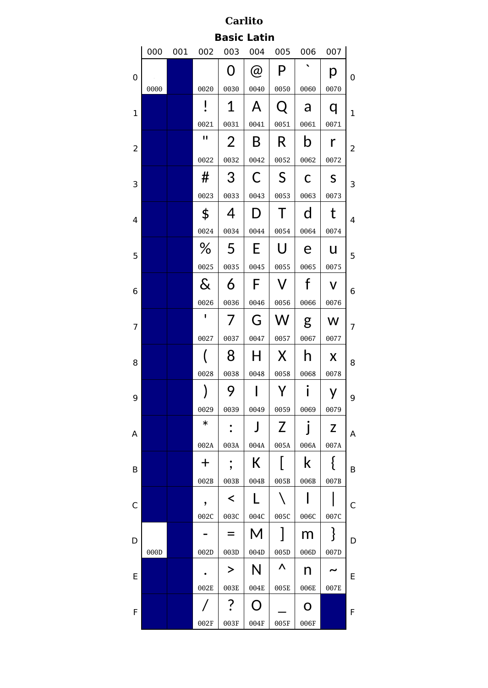| <b>Carlito</b>     |      |     |                |           |                   |           |              |              |   |  |  |
|--------------------|------|-----|----------------|-----------|-------------------|-----------|--------------|--------------|---|--|--|
| <b>Basic Latin</b> |      |     |                |           |                   |           |              |              |   |  |  |
|                    | 000  | 001 | 002            | 003       | 004               | 005       | 006          | 007          |   |  |  |
| 0                  |      |     |                | 0         | $\circleda$       | P         | ◥            | р            | 0 |  |  |
|                    | 0000 |     | 0020           | 0030      | 0040              | 0050      | 0060         | 0070         |   |  |  |
| $\mathbf 1$        |      |     | I<br>$\bullet$ | 1         | A                 | Q         | a            | q            | 1 |  |  |
|                    |      |     | 0021           | 0031      | 0041              | 0051      | 0061         | 0071         |   |  |  |
| 2                  |      |     | п              | 2         | B                 | R         | b            | r            | 2 |  |  |
|                    |      |     | 0022           | 0032      | 0042              | 0052      | 0062         | 0072         |   |  |  |
| 3                  |      |     | #              | 3         | С                 | S         | C            | S            | 3 |  |  |
|                    |      |     | 0023           | 0033      | 0043              | 0053      | 0063         | 0073         |   |  |  |
| 4                  |      |     | \$             | 4         | D                 | Τ         | d            | t            | 4 |  |  |
|                    |      |     | 0024           | 0034      | 0044              | 0054      | 0064         | 0074         |   |  |  |
| 5                  |      |     | ℅              | 5         | E                 | U         | е            | u            | 5 |  |  |
|                    |      |     | 0025           | 0035      | 0045              | 0055      | 0065         | 0075         |   |  |  |
| 6                  |      |     | $\&$           | 6         | F                 | V         | f            | V            | 6 |  |  |
|                    |      |     | 0026           | 0036      | 0046              | 0056      | 0066         | 0076         |   |  |  |
| 7                  |      |     | $\mathbf I$    | 7         | G                 | W         | g            | W            | 7 |  |  |
|                    |      |     | 0027           | 0037      | 0047              | 0057      | 0067         | 0077         |   |  |  |
| 8                  |      |     |                | 8         | H                 | X         | h            | X            | 8 |  |  |
|                    |      |     | 0028           | 0038      | 0048              | 0058      | 0068         | 0078         |   |  |  |
| 9                  |      |     |                | 9         |                   |           |              |              | 9 |  |  |
|                    |      |     | 0029           | 0039      | 0049              | 0059      | 0069         | 0079         |   |  |  |
| Α                  |      |     | $\ast$         |           | J                 | Z         | $\mathbf{I}$ | Z            | A |  |  |
|                    |      |     | 002A           | 003A      | 004A              | 005A      | 006A         | 007A         |   |  |  |
| В                  |      |     | $\bm{+}$       | ,         | К                 |           | k            | {            | B |  |  |
|                    |      |     | 002B           | 003B      | 004B              | 005B      | 006B         | 007B         |   |  |  |
| C                  |      |     | ,              | $\prec$   | L                 |           |              |              | C |  |  |
|                    |      |     | 002C           | 003C      | 004C              | 005C      | 006C         | 007C         |   |  |  |
| D                  | 000D |     | 002D           | 003D      | М<br>004D         | 005D      | m<br>006D    | $\{$<br>007D | D |  |  |
|                    |      |     |                | >         | N                 | $\Lambda$ |              |              |   |  |  |
| E                  |      |     |                |           |                   |           | n            |              | E |  |  |
|                    |      |     | 002E           | 003E<br>? | 004E<br>$\bigcap$ | 005E      | 006E<br>O    | 007E         |   |  |  |
| F                  |      |     | 002F           | 003F      | 004F              | 005F      | 006F         |              | F |  |  |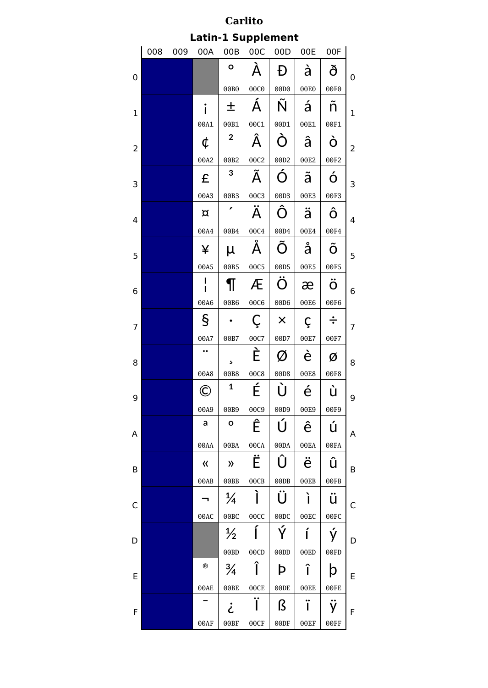| <b>Carlito</b>            |     |     |                   |                      |             |                  |      |        |                |  |  |
|---------------------------|-----|-----|-------------------|----------------------|-------------|------------------|------|--------|----------------|--|--|
| <b>Latin-1 Supplement</b> |     |     |                   |                      |             |                  |      |        |                |  |  |
|                           | 008 | 009 | 00A               | 00B                  | 00C         | 00D              | 00E  | 00F    |                |  |  |
| 0                         |     |     |                   | $\circ$              | À           | Đ                | à    | ð      | 0              |  |  |
|                           |     |     |                   | 00B0                 | 00C0        | 00D <sub>0</sub> | 00E0 | 00F0   |                |  |  |
| 1                         |     |     | i                 | 土                    | Á           | Ñ                | á    | ñ      | $\mathbf 1$    |  |  |
|                           |     |     | 00A1              | 00B1                 | 00C1        | 00D1             | 00E1 | 00F1   |                |  |  |
| 2                         |     |     | ¢                 | $\mathbf{2}$         | Â           | Ò                | â    | Ò      | 2              |  |  |
|                           |     |     | 00A2              | 00B2                 | 00C2        | 00D2             | 00E2 | 00F2   |                |  |  |
| 3                         |     |     | £                 | 3                    | Ã           | Ó                | ã    | Ó      | 3              |  |  |
|                           |     |     | 00A3              | 00B3                 | 00C3        | 00D3             | 00E3 | 00F3   |                |  |  |
| 4                         |     |     | $\alpha$          |                      | Ä           | Ô                | ä    | Ô      | $\overline{4}$ |  |  |
|                           |     |     | 00A4              | 00B4                 | 00C4        | 00D4             | 00E4 | 00F4   |                |  |  |
| 5                         |     |     | ¥                 | μ                    | Å           | Õ                | å    | Õ      | 5              |  |  |
|                           |     |     | 00A5              | 00B5                 | 00C5        | 00D5             | 00E5 | 00F5   |                |  |  |
| 6                         |     |     |                   |                      | Æ           | Ö                | æ    | Ö      | 6              |  |  |
|                           |     |     | 00A6              | 00B6                 | 00C6        | 00D6             | 00E6 | 00F6   |                |  |  |
| 7                         |     |     | $\S$              |                      | Ç           | $\times$         | Ç    | $\div$ | 7              |  |  |
|                           |     |     | 00A7<br>$\bullet$ | 00B7                 | 00C7        | 00D7             | 00E7 | 00F7   |                |  |  |
| 8                         |     |     |                   | 5                    | È           | $\varnothing$    | è    | Ø      | 8              |  |  |
|                           |     |     | 00A8              | 00B8<br>$\mathbf{1}$ | <b>00C8</b> | 00D8             | 00E8 | 00F8   |                |  |  |
| 9                         |     |     | Œ                 |                      | É           | Ù                | é    | ù      | 9              |  |  |
|                           |     |     | 00A9              | 00B9                 | 00C9        | 00D9             | 00E9 | 00F9   |                |  |  |
| Α                         |     |     | a                 | $\mathbf{o}$         | Ê           | Ú                | ê    | ú      | A              |  |  |
|                           |     |     | 00AA              | 00BA                 | 00CA        | 00DA             | 00EA | 00FA   |                |  |  |
| B                         |     |     | $\langle \langle$ | $\lambda$            | Ë           | Û                | ë    | û      | B              |  |  |
|                           |     |     | 00AB              | 00BB                 | 00CB        | 00DB             | 00EB | 00FB   |                |  |  |
| C                         |     |     |                   | $\frac{1}{4}$        | Ĩ           | Ü                | ì    | ü      | C              |  |  |
|                           |     |     | 00AC              | 00BC                 | 00CC        | 00DC             | 00EC | 00FC   |                |  |  |
| D                         |     |     |                   | $\frac{1}{2}$        | Í           | Ý                | í    | ý      | D              |  |  |
|                           |     |     | $^\circledR$      | 00BD                 | 00CD        | 00DD             | 00ED | 00FD   |                |  |  |
| E                         |     |     |                   | $\frac{3}{4}$        | Î           | Þ                | î    | þ      | E              |  |  |
|                           |     |     | 00AE              | 00BE                 | 00CE        | 00DE             | 00EE | 00FE   |                |  |  |
| F                         |     |     |                   | خ                    | Ϊ           | ß                | ï    | ÿ      | F              |  |  |
|                           |     |     | 00AF              | 00BF                 | 00CF        | 00DF             | 00EF | 00FF   |                |  |  |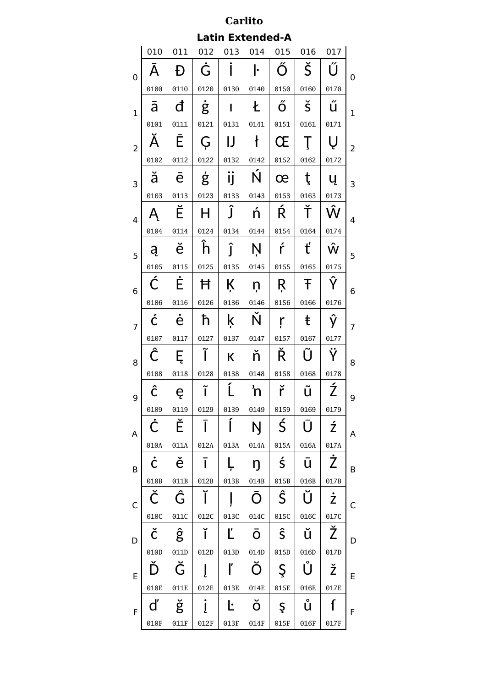| Carlito                 |      |      |      |                 |      |                      |                      |                    |   |  |  |  |
|-------------------------|------|------|------|-----------------|------|----------------------|----------------------|--------------------|---|--|--|--|
| <b>Latin Extended-A</b> |      |      |      |                 |      |                      |                      |                    |   |  |  |  |
|                         | 010  | 011  | 012  | 013             | 014  | 015                  | 016                  | 017                |   |  |  |  |
| 0                       | A    | Ð    | Ġ    |                 | ŀ    | Ő                    | Š                    | Ű                  | 0 |  |  |  |
|                         | 0100 | 0110 | 0120 | 0130            | 0140 | 0150                 | 0160                 | 0170               |   |  |  |  |
| $\mathbf{1}$            | ā    | đ    | ġ    | I               | Ł    | Ő                    | $\check{\mathsf{s}}$ | ű                  | 1 |  |  |  |
|                         | 0101 | 0111 | 0121 | 0131            | 0141 | 0151                 | 0161                 | 0171               |   |  |  |  |
| $\overline{2}$          | Ă    | Ē    | Ģ    | IJ              | ł    | Œ                    | Ţ                    | Ų                  | 2 |  |  |  |
|                         | 0102 | 0112 | 0122 | 0132            | 0142 | 0152                 | 0162                 | 0172               |   |  |  |  |
| 3                       | ă    | ē    | ģ    | $\bullet$<br>ij | Ń    | œ                    | ţ                    | ų                  | 3 |  |  |  |
|                         | 0103 | 0113 | 0123 | 0133            | 0143 | 0153                 | 0163                 | 0173               |   |  |  |  |
| $\overline{4}$          |      | Ĕ    | н    | Ĵ               | ń    | Ŕ                    | Ť                    | Ŵ                  | 4 |  |  |  |
|                         | 0104 | 0114 | 0124 | 0134            | 0144 | 0154                 | 0164                 | 0174               |   |  |  |  |
| 5                       | ą    | ĕ    | h    | ĵ               | Ņ    | ŕ                    | ť                    | Ŵ                  | 5 |  |  |  |
|                         | 0105 | 0115 | 0125 | 0135            | 0145 | 0155                 | 0165                 | 0175               |   |  |  |  |
| 6                       | Ć    | Ė    | Ħ    | Ķ               | ņ    | Ŗ                    | Ŧ                    | Ŷ                  | 6 |  |  |  |
|                         | 0106 | 0116 | 0126 | 0136            | 0146 | 0156                 | 0166                 | 0176               |   |  |  |  |
| 7                       | ć    | ė    | ħ    | ķ               | Ň    | ŗ                    | ŧ                    | ŷ                  | 7 |  |  |  |
|                         | 0107 | 0117 | 0127 | 0137            | 0147 | 0157                 | 0167                 | 0177               |   |  |  |  |
| 8                       | Ĉ    | Ę    |      | К               | ň    | Ř                    | Ũ                    |                    | 8 |  |  |  |
|                         | 0108 | 0118 | 0128 | 0138            | 0148 | 0158                 | 0168                 | 0178               |   |  |  |  |
| 9                       | Ĉ    | ę    | ĩ    | Ĺ               | 'n   | ř                    | ũ                    | Ź                  | 9 |  |  |  |
|                         | 0109 | 0119 | 0129 | 0139            | 0149 | 0159                 | 0169                 | 0179               |   |  |  |  |
| Α                       | Ċ    | Ě    | Ī    |                 | Ŋ    | Ś                    | U                    | ź                  | Α |  |  |  |
|                         | 010A | 011A | 012A | 013A            | 014A | 015A                 | 016A                 | 017A               |   |  |  |  |
| B                       | Ċ    | ě    | ī    |                 | ŋ    | $\acute{\mathsf{s}}$ | ū                    | Ż                  | B |  |  |  |
|                         | 010B | 011B | 012B | 013B            | 014B | 015B                 | 016B                 | 017B               |   |  |  |  |
| C                       | Č    | Ĝ    | Ĭ    |                 | Ō    | Ŝ                    | Ŭ                    | $\dot{\mathsf{Z}}$ | C |  |  |  |
|                         | 010C | 011C | 012C | 013C            | 014C | 015C                 | 016C                 | 017C               |   |  |  |  |
| D                       | č    | ĝ    | ĭ    | Ľ               | Ō    | Ŝ                    | ŭ                    | Ž                  | D |  |  |  |
|                         | 010D | 011D | 012D | 013D            | 014D | 015D                 | 016D<br>Ů            | 017D               |   |  |  |  |
| E                       | Ď    | Ğ    |      | ľ               | Ŏ    | Ş                    |                      | ž                  | E |  |  |  |
|                         | 010E | 011E | 012E | 013E            | 014E | 015E                 | 016E                 | 017E               |   |  |  |  |
| F                       | ď    | ğ    |      | Ŀ               | Ŏ    | Ş                    | ů                    | ſ                  | F |  |  |  |
|                         | 010F | 011F | 012F | 013F            | 014F | 015F                 | 016F                 | 017F               |   |  |  |  |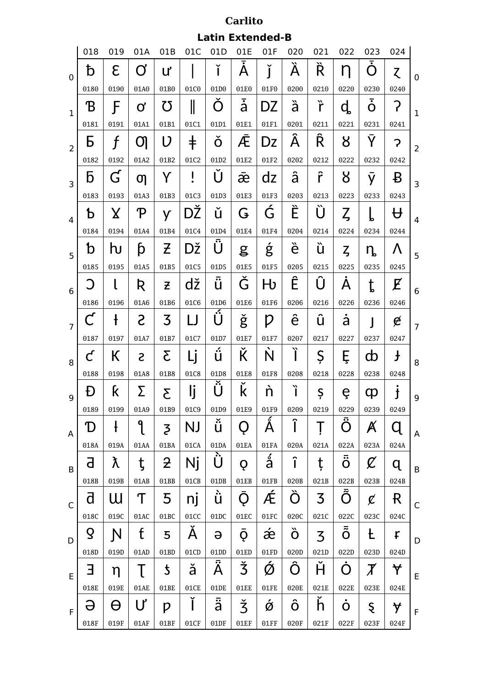|                |                         |                                 |               |                          |            |                         | Carlito         |                     |      |      |                            |                              |              |                |
|----------------|-------------------------|---------------------------------|---------------|--------------------------|------------|-------------------------|-----------------|---------------------|------|------|----------------------------|------------------------------|--------------|----------------|
|                |                         |                                 |               |                          |            | <b>Latin Extended-B</b> |                 |                     |      |      |                            |                              |              |                |
|                | 018                     | 019                             | 01A           | 01B                      | 01C        | 01D                     | 01E<br><u>.</u> | 01F                 | 020  | 021  | 022                        | 023                          | 024          |                |
| $\mathbf 0$    | đ                       | E                               | Ơ             | ư                        |            | ľ                       | Α               | ľ                   | À    | Ŕ    | η                          | $\overline{\cdot}$<br>$\cap$ | Z            | 0              |
|                | 0180                    | 0190                            | 01A0          | 01B0                     | 01C0       | 01D0                    | 01E0            | 01F0                | 0200 | 0210 | 0220                       | 0230                         | 0240         |                |
| $\mathbf{1}$   | B                       | F                               | Ø             | 75                       | ║          | $\cap$                  | ā               | DZ                  | à    | ř    | ď                          | $\overline{\bullet}$<br>O    | ?            | $\mathbf 1$    |
|                | 0181                    | 0191                            | 01A1          | 01B1                     | 01C1       | 01D1                    | 01E1            | 01F1                | 0201 | 0211 | 0221                       | 0231                         | 0241         |                |
| $\overline{2}$ | Б                       | f                               | <u>(</u>      | V                        | $\ddagger$ | Ŏ                       | Æ               | Dz                  | Â    | Ŕ    | 8                          | Y                            | 7            | $\overline{2}$ |
|                | 0182                    | 0192                            | 01A2          | 01B2                     | 01C2       | 01D2                    | 01E2            | 01F2                | 0202 | 0212 | 0222                       | 0232                         | 0242         |                |
| 3              | b                       | $\mathsf{G}% _{\mathbb{Z}}^{K}$ | თ             | Y                        | J          | U                       | $\bar{x}$       | dz                  | â    | ĥ    | 8                          | y                            | B            | 3              |
|                | 0183                    | 0193                            | 01A3          | 01B3                     | 01C3       | 01D3                    | 01E3            | 01F3                | 0203 | 0213 | 0223                       | 0233                         | 0243         |                |
| $\overline{4}$ | Ъ                       | Χ                               | ዋ             | У                        | DŽ         | u                       | G               | Ġ                   | È    | U    | ζ                          | P                            | $\bf \rm{H}$ | 4              |
|                | 0184                    | 0194                            | 01A4          | 01B4                     | 01C4       | 01D4                    | 01E4            | 01F4                | 0204 | 0214 | 0224                       | 0234                         | 0244         |                |
| 5              | b                       | Խ                               | þ             | Z                        | Dž         | U                       | g               | ģ                   | è    | ù    | $Z_{\rm s}$                | ղ                            | Λ            | 5              |
|                | 0185                    | 0195                            | 01A5          | 01B5                     | 01C5       | 01D5                    | 01E5            | 01F5                | 0205 | 0215 | 0225                       | 0235                         | 0245         |                |
| 6              |                         | ι                               | R             | Z                        | dž         | <br>U                   | Ğ               | H                   | Ê    | U    | Α                          | $\mathfrak{t}$               | E            | 6              |
|                | 0186                    | 0196                            | 01A6          | 01B6                     | 01C6       | 01D6                    | 01E6            | 01F6                | 0206 | 0216 | 0226                       | 0236                         | 0246         |                |
| $\overline{7}$ |                         | ł                               | S             | 3                        | ĻΙ         | ΰ                       | ġ               | D                   | ê    | û    | å                          |                              | ¢            | $\overline{7}$ |
|                | 0187                    | 0197                            | 01A7          | 01B7                     | 01C7       | 01D7                    | 01E7            | 01F7                | 0207 | 0217 | 0227                       | 0237                         | 0247         |                |
| 8              | $\mathcal{C}$           | К                               | S             | Σ                        | Lj         | <br>Û                   | К               | N                   | Ĩ    | Ş    | Ę                          | æ                            | ╂            | 8              |
|                | 0188                    | 0198                            | 01A8          | 01B8                     | 01C8       | 01D8                    | 01E8            | 01F8                | 0208 | 0218 | 0228                       | 0238                         | 0248         |                |
| 9              | Ð                       | ƙ                               | Σ             | $\overline{\mathcal{E}}$ | lj         | Ű                       | Ř               | 'n                  | ì    | Ş    | ę                          | ф                            | $\mathbf{j}$ | 9              |
|                | 0189                    | 0199                            | 01A9          | 01B9                     | 01C9       | 01D9                    | 01E9            | 01F9                | 0209 | 0219 | 0229                       | 0239                         | 0249         |                |
| A              | D                       | $\ddagger$                      | 9             | $\overline{5}$           | NJ         | ũ                       | $\overline{O}$  | Å                   | Î    | Ţ    | Ξ<br>O                     | $\cancel{\mathsf{A}}$        | Q            | A              |
|                | 018A                    | 019A                            | 01AA          | 01BA                     | 01CA       | 01DA                    | 01EA            | 01FA                | 020A | 021A | 022A                       | 023A                         | 024A         |                |
| B              | a                       | λ                               | ţ             | <b>2</b>                 | Nj         | Ù                       | Q               | å                   | î    | ţ    | $\ddot{\ddot{\mathrm{o}}}$ | $\boldsymbol{\mathcal{C}}$   | q            | $\sf B$        |
|                | 018B                    | 019B                            | 01AB          | 01BB                     | 01CB       | 01DB                    | 01EB            | 01FB                | 020B | 021B | 022B                       | 023B                         | 024B         |                |
| C              | $\overline{\mathsf{d}}$ | ա                               | ͳ             | 5                        | nj         | ù                       | Q.              | Æ                   | Ő    | 3    | Õ                          | $\cancel{c}$                 | R            | C              |
|                | 018C                    | 019C                            | 01AC          | 01BC                     | 01CC       | 01DC                    | 01EC            | 01FC                | 020C | 021C | 022C                       | 023C                         | 024C         |                |
| D              | $\mathsf Q$             | $\mathsf{N}$                    | $\mathfrak t$ | 5                        | A          | $\Theta$                | Q               | æ                   | Ő    | 3    | $\bar{\tilde{O}}$          | Ł                            | Ł            | D              |
|                | 018D                    | 019D                            | 01AD          | 01BD                     | 01CD       | 01DD                    | 01ED            | 01FD                | 020D | 021D | 022D                       | 023D                         | 024D         |                |
| E              | Ε                       | η                               | T             | $\mathfrak z$            | ă          | Ä                       | Ž               | $\acute{\text{\o}}$ | Ô    | Ĥ    | Ò                          | $\boldsymbol{\mathit{X}}$    | Y            | $\mathsf E$    |
|                | 018E                    | 019E                            | 01AE          | 01BE                     | 01CE       | 01DE                    | 01EE            | 01FE                | 020E | 021E | 022E                       | 023E                         | 024E         |                |
| F              | Ә                       | θ                               | Ư             | p                        | ľ          | ä                       | $\check{3}$     | Ó                   | ô    | ň    | $\dot{\mathbf{O}}$         | Ş                            | Y            | F              |
|                | 018F                    | 019F                            | 01AF          | 01BF                     | 01CF       | 01DF                    | 01EF            | 01FF                | 020F | 021F | 022F                       | 023F                         | 024F         |                |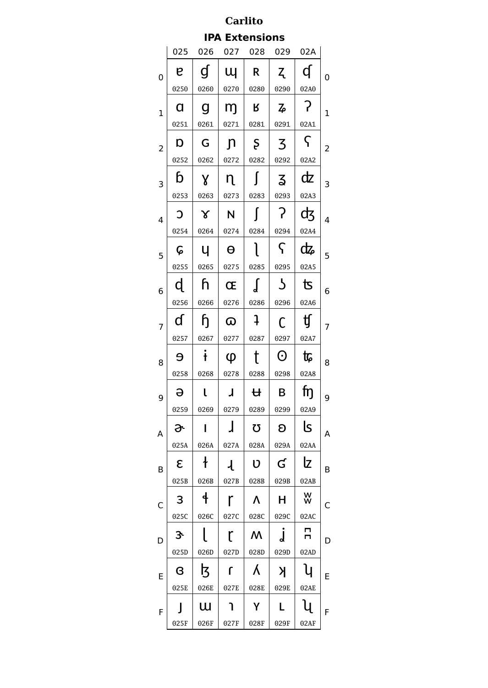**IPA Extensions**

|                         |              | 025 026 027 028 029 02A |                         |                |                                |               |             |
|-------------------------|--------------|-------------------------|-------------------------|----------------|--------------------------------|---------------|-------------|
| 0                       | P.           | $\mathbf{d}$            | Щ                       | $\mathsf{R}$   | $Z_{\perp}$                    | d             | 0           |
|                         | 0250         | 0260                    | 0270                    | 0280           | 0290                           | 02A0          |             |
| $\mathbf 1$             | $\mathsf{Q}$ | $\mathbf{g}$            | m <sub>j</sub>          | $\mathsf R$    | $z_{\!\scriptscriptstyle\rho}$ | $\mathcal{P}$ | $\mathbf 1$ |
|                         | 0251         | 0261                    | 0271                    | 0281           | 0291                           | 02A1          |             |
| $\overline{c}$          | D            | G                       | $\mathsf{n}$            | $\mathsf{S}$   | $\overline{3}$                 | $\varsigma$   | 2           |
|                         | 0252         | 0262                    | 0272                    | 0282           | 0292                           | 02A2          |             |
| 3                       | b            | $\mathsf{X}$            | $\mathsf{n}$            | $\int$         | $\mathsf{\Sigma}$              | dz            | 3           |
|                         | 0253         | 0263                    | 0273                    | 0283           | 0293                           | 02A3          |             |
| $\overline{\mathbf{4}}$ | $\mathbf C$  | $\chi$                  | N                       | $\blacksquare$ | $\mathcal{L}$                  | фz            | 4           |
|                         | 0254         | 0264                    | 0274                    | 0284           | 0294                           | 02A4          |             |
| 5                       | ငှ           | Ч                       | $\Theta$                | $\mathbf{I}$   | $\varsigma$                    | ф             | 5           |
|                         | 0255         | 0265                    | 0275                    | 0285           | 0295                           | 02A5          |             |
| 6                       | þ            | h.                      | Œ                       | $\int$         | $\mathcal{L}$                  | 飞             | 6           |
|                         | 0256         | 0266                    | 0276                    | 0286           | 0296                           | 02A6          |             |
| 7                       | ď            | $\mathfrak h$           | $\omega$                | $\mathbf{a}$   | C                              | ij            | 7           |
|                         | 0257         | 0267                    | 0277                    | 0287           | 0297                           | 02A7          |             |
| 8                       | $\Theta$     | $\ddot{\mathbf{t}}$     | $\varphi$               | $\mathsf{t}$   | $\odot$                        | <b>t</b>      | 8           |
|                         | 0258         | 0268                    | 0278                    | 0288           | 0298                           | 02A8          |             |
| 9                       | ə            | l                       | $\overline{\mathsf{r}}$ | $\mathbf{H}$   | $\overline{B}$                 | fŋ            | 9           |
|                         | 0259         | 0269                    | 0279                    | 0289 0299      |                                | 02A9          |             |
| A                       | ᢙ            | I                       | J                       | U              | $\boldsymbol{\mathsf{S}}$      | کا            | Α           |
|                         | 025A         | 026A                    | 027A                    | 028A           | 029A                           | 02AA          |             |
| B                       | ε            | ł                       | $\mathcal{A}$           | IJ             | G                              | lz            | B           |
|                         | 025B         | 026B                    | 027B                    | 028B           | 029B                           | 02AB          |             |
| С                       | 3            | ╉                       | r                       | Λ              | Н                              | W             | С           |
|                         | 025C         | 026C                    | 027C                    | 028C           | 029C                           | 02AC          |             |
| D                       | З.           |                         | r                       | W              | J                              | п<br>п        | D           |
|                         | 025D         | 026D                    | 027D                    | 028D           | 029D                           | 02AD          |             |
| E                       | B            | ß                       | ſ                       | λ              | Я                              | y             | E           |
|                         | 025E         | 026E                    | 027E                    | 028E           | 029E                           | 02AE          |             |
| F                       |              | W                       |                         | Υ              |                                | Ų             | F           |
|                         | 025F         | 026F                    | 027F                    | 028F           | 029F                           | 02AF          |             |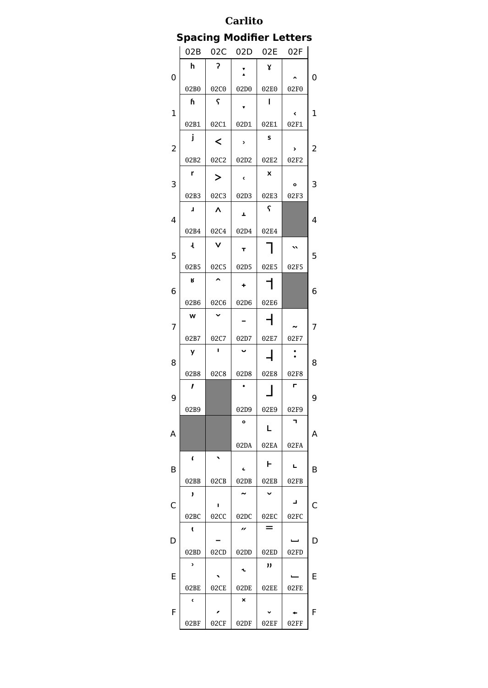## **Spacing Modifier Letters**

|                         | 02B          | 02C     | 02D        | 02E  | 02F                      |   |
|-------------------------|--------------|---------|------------|------|--------------------------|---|
| 0                       | h            | ?       |            | γ    |                          | 0 |
|                         | 02B0         | 02C0    | 02D0       | 02E0 | 02F0                     |   |
| $\mathbf 1$             | h            | ς       |            | П    | $\overline{\phantom{a}}$ | 1 |
|                         | 02B1         | 02C1    | 02D1       | 02E1 | 02F1                     |   |
| $\overline{\mathbf{c}}$ | j            | ≺       | ×,         | S    | >                        | 2 |
|                         | 02B2         | 02C2    | 02D2       | 02E2 | 02F2                     |   |
| 3                       | r            | ⋗       | ¢          | X    | o                        | 3 |
|                         | 02B3         | 02C3    | 02D3       | 02E3 | 02F3                     |   |
| 4                       | J            | Λ       | Ŧ,         | ና    |                          | 4 |
|                         | 02B4         | 02C4    | 02D4       | 02E4 |                          |   |
| 5                       | 1            | V       | T          |      | $\lambda$                | 5 |
|                         | 02B5         | 02C5    | 02D5       | 02E5 | 02F5                     |   |
| 6                       | R            |         | ٠          |      |                          | 6 |
|                         | 02B6         | 02C6    | 02D6       | 02E6 |                          |   |
| 7                       | W            |         |            |      |                          | 7 |
|                         | 02B7         | 02C7    | 02D7       | 02E7 | 02F7                     |   |
|                         |              | П       | u          |      |                          |   |
| 8                       | y            |         |            |      |                          | 8 |
|                         | 02B8         | 02C8    | 02D8       | 02E8 | 02F8                     |   |
| 9                       | ı            |         |            |      | г                        | 9 |
|                         | 02B9         |         | 02D9       | 02E9 | 02F9                     |   |
| А                       |              |         | o          | L    | ┑                        | Α |
|                         |              |         | 02DA       | 02EA | 02FA                     |   |
| B                       | t            | $\cdot$ | $\epsilon$ | ⊢    | L                        | B |
|                         | 02BB         | 02CB    | 02DB       | 02EB | 02FB                     |   |
| C                       | ,            | ı       | ∼          | v    | ┚                        | r |
|                         | 02BC         | 02CC    | 02DC       | 02EC | 02FC                     |   |
| D                       | t            |         | "          | $=$  |                          | D |
|                         | 02BD         | 02CD    | 02DD       | 02ED | 02FD                     |   |
| E                       | <sup>,</sup> |         | ٦.         | "    |                          | E |
|                         | 02BE         | 02CE    | 02DE       | 02EE | 02FE                     |   |
| F                       | ¢<br>02BF    | 02CF    | ×<br>02DF  | 02EF | 02FF                     | F |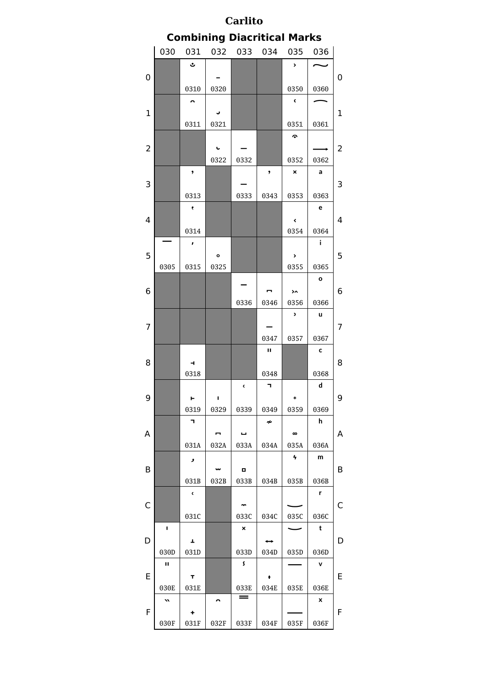#### **Carlito Combining Diacritical Marks** 030 031 032 033 034 035 036 $\ddot{\cdot}$  $\rightarrow$  $\overline{a}$ ب ̐ ̠ ͐ 0 0 0310 0320 0350 0360  $\bar{\mathbf{c}}$  $\overline{\phantom{0}}$  $\sim$ ̑ ̡ ͑ ͡ 1 1 0311 0321 0351 0361  $\hat{z}$ ̢  $\overline{a}$ ͒ 2 | | | ↓ | − | | | | | − | 2 0322 0332 0352 0362  $\bar{\mathbf{x}}$  $\mathsf{a}$  $\bullet$  $\pmb{\mathfrak{z}}$ ̓ ̳ ̓ ͓ ͣ 3 3 0313 0333 0343 0353 0363  $\bar{\mathbf{t}}$  $\mathbf{e}$ ̔ ͔ ͤ 4 4 4 0314 0354 0364  $\mathbf{i}$  $\mathbf{r}$ ̥ ͕ ֕ 5 | | | | | | | | | | | | | 5 0305 0315 0325 0355 0365  $\mathbf{o}$ ̶ ͆ ͖ ͦ  $\overline{\phantom{0}}$ 6 6 0336 0346 0356 0366  $\mathbf{r}$  $\mathbf u$ ͇ ͗ **U** 7 7 0347 0357 0367  $\mathbf{u}$  $\mathbf{c}$ ̘ ͨ 8 8 0318 0348 0368  $\blacksquare$  $\mathbf d$  $\epsilon$ ̙ ̩ ̹ ͉ ͙ ͩ 9 9 0319 0329 0339 0349 0359 0369  $\overline{\mathbf{h}}$  $\overline{\mathbf{u}}$  $\boldsymbol{\mu}$ ̚ ̪  $\overline{a}$ **U** ͚ │ A | | − | ← | | ∞ | |A 031A 032A 033A 034A 035A 036A  $\pmb{\gamma}$  $\mathsf{m}$ ̛ ̫ ̻ ∫ ͫ B B 032B 033B 031B 034B 035B 036B  $\bar{\rm c}$  $\mathbf{r}$ ̜ ̼ r<br>İ C | | | | | | | | | | C 031C 033C 034C 035C 036C  $\mathbf t$  $\pmb{\times}$  $\blacksquare$ ̍ ̝ ̽ ͍ ͝ ֖֚֚֬֕ D | + | | | + | + | | D 030D 031D 034D 036D 033D 035D  $\pmb{\mathsf{s}}$  $\mathbf{H}$  $\bar{\mathbf{v}}$ ̞ ̾ ͎ ͞ li anno 1919.<br>Coimean anns an Coimeanach<br>Coimean ann an Coimean ann an Coimean ann an Coimean ann an Coimean ann an Coimean<br>Coimean ann an Coimean ann an Coimean ann an Coimean ann an Coimean ann an Coimean ann an Coimean E | T | | | | | | | | | E 036E 030E 031E 033E 034E 035E  $\!\!\!=\!\!\!=$  $\pmb{\mathsf{x}}$  $\boldsymbol{v}$  $\overline{\phantom{0}}$ ̏ ̟ ̯ ̿ **U** F | + | | | | | | | | | F 030F 031F 032F 033F 034F 035F 036F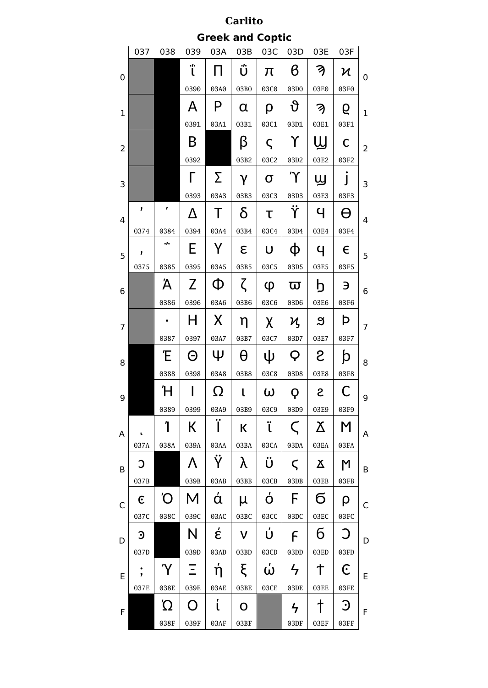| Carlito        |                         |           |                |        |              |          |                          |                 |                |                |  |  |
|----------------|-------------------------|-----------|----------------|--------|--------------|----------|--------------------------|-----------------|----------------|----------------|--|--|
|                | <b>Greek and Coptic</b> |           |                |        |              |          |                          |                 |                |                |  |  |
|                | 037                     | 038       | 039            | 03A    | 03B          | 03C      | 03D                      | 03E             | 03F            |                |  |  |
| 0              |                         |           | .,<br>ι        | П      | ΰ            | π        | в                        | K)              | Ν              | 0              |  |  |
|                |                         |           | 0390           | 03A0   | 03B0         | 03C0     | 03D0                     | 03E0            | 03F0           |                |  |  |
|                |                         |           | А              | P      | α            | ρ        | უ                        | A               | б              |                |  |  |
| $\mathbf{1}$   |                         |           | 0391           | 03A1   | 03B1         | 03C1     | 03D1                     | 03E1            | 03F1           | $\mathbf{1}$   |  |  |
|                |                         |           | B              |        | β            | ς        | Υ                        | Щ               | C              |                |  |  |
| $\overline{2}$ |                         |           | 0392           |        | 03B2         | 03C2     | 03D2                     | 03E2            | 03F2           | 2              |  |  |
| 3              |                         |           | Г              | Σ      | γ            | $\sigma$ | $\Upsilon$               | ௶               |                | 3              |  |  |
|                |                         |           | 0393           | 03A3   | 03B3         | 03C3     | 03D3                     | 03E3            | 03F3           |                |  |  |
| 4              | ,                       | ,         | Δ              | Τ      | δ            | τ        | Ϋ                        | Ч               | A              | 4              |  |  |
|                | 0374                    | 0384      | 0394           | 03A4   | 03B4         | 03C4     | 03D4                     | 03E4            | 03F4           |                |  |  |
| 5              | ,                       | $\ddotsc$ | E              | Y      | $\epsilon$   | U        | Φ                        | Ч               | $\epsilon$     | 5              |  |  |
|                | 0375                    | 0385      | 0395           | 03A5   | 03B5         | 03C5     | 03D5                     | 03E5            | 03F5           |                |  |  |
| 6              |                         | Ά         | Z              | Φ      | ζ            | φ        | ᢍ                        | h               | Э              | 6              |  |  |
|                |                         | 0386      | 0396           | 03A6   | 03B6         | 03C6     | 03D6                     | 03E6            | 03F6           |                |  |  |
| 7              |                         |           | H              | X      | η            | χ        | η                        | ສ               | Þ              | $\overline{7}$ |  |  |
|                |                         | 0387      | 0397           | 03A7   | 03B7         | 03C7     | 03D7                     | 03E7            | 03F7           |                |  |  |
| 8              |                         | Έ         | Θ              | Ψ      | θ            | ψ        | Q                        | S               | þ              | 8              |  |  |
|                |                         | 0388      | 0398           | 03A8   | 03B8         | 03C8     | 03D8                     | 03E8            | 03F8           |                |  |  |
| 9              |                         | Ή         |                | Ω      | $\mathbf{I}$ | ω        | Q                        | S               | С              | 9              |  |  |
|                |                         | 0389      | 0399           | 03A9   | 03B9         | 03C9     | 03D9                     | 03E9            | 03F9           |                |  |  |
| A              | ú                       | Ί         | К              | Ϊ      | К            | ï        | $\subset$                | Ϫ               | M              | А              |  |  |
|                | 037A                    | 038A      | 039A           | 03AA   | 03BA         | 03CA     | 03DA                     | 03EA            | 03FA           |                |  |  |
| B              | C                       |           | Λ              | Ÿ      | λ            | Ü        | $\boldsymbol{\varsigma}$ | $\mathbf{X}$    | M              | B              |  |  |
|                | 037B                    |           | 039B           | 03AB   | 03BB         | 03CB     | 03DB                     | 03EB            | 03FB           |                |  |  |
| C              | $\epsilon$              | O'        | M              | ά      | μ            | ó        | F                        | б               | ρ              | C              |  |  |
|                | 037C                    | 038C      | 039C           | 03AC   | 03BC         | 03CC     | 03DC                     | 03EC            | 03FC           |                |  |  |
| D              | $\mathfrak{S}$          |           | N              | έ      | $\mathsf{V}$ | Ú        | F                        | 6               | J              | D              |  |  |
|                | 037D                    |           | 039D           | 03AD   | 03BD         | 03CD     | 03DD                     | 03ED            | 03FD           |                |  |  |
| E              | $\bullet$               | 'Y        | Ξ              | ή      | ξ            | ώ        | $\frac{1}{\sqrt{2}}$     | ϯ               | C              | E              |  |  |
|                | 037E                    | 038E      | 039E           | 03AE   | 03BE         | 03CE     | 03DE                     | 03EE            | 03FE           |                |  |  |
| $\mathsf F$    |                         | Ώ         | $\overline{O}$ | ί      | $\mathbf O$  |          | $\frac{1}{\sqrt{2}}$     | $\dagger$       | $\mathfrak{I}$ | F              |  |  |
|                |                         | 038F      | 039F           | $03AF$ | 03BF         |          | 03DF                     | $03\mathrm{EF}$ | 03FF           |                |  |  |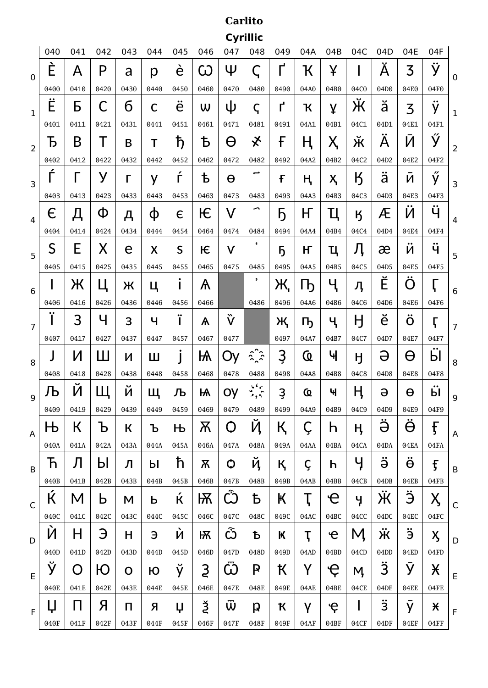# **Carlito Cyrillic**

|                | 040        | 041       | 042       | 043       | 044  | 045                   | 046  | 047                  | 048                     | 049          | 04A  | 04B                            | 04C    | 04D             | 04E                             | 04F                                        |              |
|----------------|------------|-----------|-----------|-----------|------|-----------------------|------|----------------------|-------------------------|--------------|------|--------------------------------|--------|-----------------|---------------------------------|--------------------------------------------|--------------|
| $\mathbf 0$    | È          | Α         | P         | a         | р    | è                     | ယ    | Ψ                    | $\bm{\zeta}$            | ל            | Ҡ    | ¥                              |        | Ă               | 3                               | ÿ                                          | 0            |
|                | 0400       | 0410      | 0420      | 0430      | 0440 | 0450                  | 0460 | 0470                 | 0480                    | 0490         | 04A0 | 04B0                           | 04C0   | 04D0            | 04E0                            | 04F0                                       |              |
| $\mathbf{1}$   | Ë          | Б         | С         | б         | C    | ë                     | W    | ψ                    | $\varsigma$             | $\mathsf{r}$ | Ҡ    | ¥                              | Ӂ      | ă               | 3                               | ÿ                                          | 1            |
|                | 0401       | 0411      | 0421      | 0431      | 0441 | 0451                  | 0461 | 0471                 | 0481                    | 0491         | 04A1 | 04B1                           | 04C1   | 04D1            | 04E1                            | 04F1                                       |              |
| $\overline{2}$ | Ъ          | B         |           | В         | Τ    | ħ                     | Ѣ    | Θ                    | ҂                       | F            | Ң    | Ҳ                              | ັ<br>Ж | A               | И                               | ý                                          | 2            |
|                | 0402       | 0412      | 0422      | 0432      | 0442 | 0452                  | 0462 | 0472                 | 0482                    | 0492         | 04A2 | 04B2                           | 04C2   | 04D2            | 04E2                            | 04F2                                       |              |
| 3              | ŕ          |           | У         |           | y    | ŕ                     | ҍ    | Θ                    | ٮ                       | £            | ң    | Ҳ                              | K      | ä               | И                               | ý                                          | 3            |
|                | 0403       | 0413      | 0423      | 0433      | 0443 | 0453                  | 0463 | 0473                 | 0483                    | 0493         | 04A3 | 04B3                           | 04C3   | 04D3            | 04E3                            | 04F3                                       |              |
| $\overline{4}$ | $\epsilon$ | Д         | Φ         | д         | φ    | $\epsilon$            | Ѥ    | V                    | ∽                       | Ҕ            | H    | Ц                              | K      | Æ               | И                               | ÿ                                          | 4            |
|                | 0404       | 0414      | 0424      | 0434      | 0444 | 0454                  | 0464 | 0474                 | 0484                    | 0494         | 04A4 | 04B4                           | 04C4   | 04D4            | 04E4                            | 04F4                                       |              |
| 5              | S          | E         | Х         | е         | X    | S                     | Ѥ    | V                    | t                       | 5            | ҥ    | Ц                              | Ӆ      | æ               | И                               | ÿ                                          | 5            |
|                | 0405       | 0415      | 0425      | 0435      | 0445 | 0455                  | 0465 | 0475                 | 0485                    | 0495         | 04A5 | 04B5                           | 04C5   | 04D5            | 04E5                            | 04F5                                       |              |
| 6              |            | Ж         | Ц         | Ж         | Ц    | ı                     | Ѧ    |                      | ,                       | Ж,           | l b  | Ҷ                              | Ӆ      | Ĕ               | O                               | Ч                                          | 6            |
|                | 0406       | 0416      | 0426      | 0436      | 0446 | 0456                  | 0466 |                      | 0486                    | 0496         | 04A6 | 04B6                           | 04C6   | 04D6            | 04E6                            | 04F6                                       |              |
| $\overline{7}$ | ∵          | З         | Ч         | 3         | Ч    | $\bullet\bullet$<br>I | Ѧ    | ѷ                    |                         | Җ            | Ҧ    | ҷ                              | Ӈ      | ĕ               | $\bullet\bullet$<br>$\mathbf O$ | ŗ                                          | 7            |
|                | 0407       | 0417      | 0427      | 0437      | 0447 | 0457                  | 0467 | 0477                 |                         | 0497         | 04A7 | 04B7                           | 04C7   | 04D7            | 04E7                            | 04F7                                       |              |
| 8              |            | И         | Ш         | И         | Ш    |                       | Ѩ    | Oy                   | $\sum_{i=1}^{n}$        | Ҙ            | Q    | Ҹ                              | H      | Ә               | Θ                               | Ӹ                                          | 8            |
|                | 0408       | 0418      | 0428      | 0438      | 0448 | 0458                  | 0468 | 0478                 | 0488                    | 0498         | 04A8 | 04B8                           | 04C8   | 04D8            | 04E8                            | 04F8                                       |              |
| 9              | Љ          | И         | Щ         | Й         | Щ    | Љ                     | Ѩ    | Oy                   | 66 <sub>5</sub><br>أدوم | Ҙ            | Q    | Ч                              | H,     | Ә               | θ                               | Ӹ                                          | 9            |
|                | 0409       | 0419      | 0429      | 0439      | 0449 | 0459                  | 0469 | 0479                 | 0489                    | 0499         | 04A9 | 04B9                           | 04C9   | 04D9            | 04E9                            | 04F9                                       |              |
| A              | Њ          | К         | Ъ         | К         | Ъ    | Њ                     | Ѫ    | $\mathsf{O}$         | Ҋ                       | Қ            | Ç    | h                              | H,     | $\ddot{\Theta}$ | $\ddot{\Theta}$                 | f                                          | A            |
|                | 040A       | 041A      | 042A      | 043A      | 044A | 045A                  | 046A | 047A                 | 048A                    | 049A         | 04AA | 04BA                           | 04CA   | 04DA            | 04EA                            | 04FA                                       |              |
| B              | Ћ          | Л         | Ы         | Л         | Ы    | ħ                     | Ѫ    | $\mathbf O$          | ҋ                       | қ            | Ç    | h                              | Y      | $\ddot{\Theta}$ | $\ddot{\Theta}$                 | $\mathbf{f}$                               | B            |
|                | 040B       | 041B      | 042B      | 043B      | 044B | 045B                  | 046B | 047B                 | 048B                    | 049B         | 04AB | 04BB                           | 04CB   | 04DB            | 04EB                            | 04FB                                       |              |
| $\mathsf{C}$   | Ќ          | M         | b         | M         | Ь    | Ŕ                     | Ѭ    | Ŵ                    | Ҍ                       | К            | Ţ    | e                              | Ч      | Ӝ               | Ë                               | $\mathsf{X}% _{1}\left( \mathsf{Y}\right)$ | $\mathsf{C}$ |
|                | 040C       | 041C      | 042C      | 043C      | 044C | 045C                  | 046C | 047C                 | 048C                    | 049C         | 04AC | 04BC                           | 04CC   | 04DC            | 04EC                            | 04FC                                       |              |
|                |            |           |           |           |      |                       |      |                      |                         | К            | Ţ    | $\mathbf e$                    | M,     | Ж               | ë                               | X                                          |              |
| D              | Ņ          | H         | Э         | H         | Э    | Ņ                     | Ѭ    | $\tilde{\mathbf{C}}$ | Ъ                       |              |      |                                |        |                 |                                 |                                            | D            |
|                | 040D       | 041D      | 042D      | 043D      | 044D | 045D                  | 046D | 047D                 | 048D                    | 049D         | 04AD | 04BD                           | 04CD   | 04DD            | 04ED                            | 04FD                                       |              |
| E              | Ў          | O         | Ю         | O         | Ю    | ў                     | 3    | Ѿ                    | P                       | Ҟ            | Y    | $\overline{\mathsf{e}}$        | M,     | $\ddot{3}$      | Ӯ                               | X                                          | E            |
|                | 040E       | 041E      | 042E      | 043E      | 044E | 045E                  | 046E | 047E                 | 048E                    | 049E         | 04AE | 04BE                           | 04CE   | 04DE            | 04EE                            | 04FE                                       |              |
| F              | Ų<br>040F  | П<br>041F | Я<br>042F | П<br>043F | Я    | Ų                     | Ř    | Ŵ<br>047F            | p<br>048F               | К            | γ    | $\boldsymbol{\varphi}$<br>04BF | 04CF   | $\ddot{3}$      | y                               | $\boldsymbol{\mathsf{X}}$                  | $\mathsf F$  |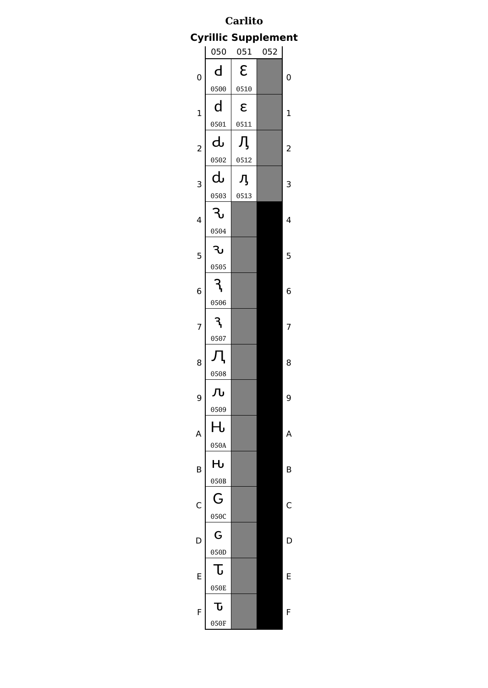# **Carlito Cyrillic Supplement**

|                | 050  | 051  | 052 |                |
|----------------|------|------|-----|----------------|
| 0              | d    | ε    |     | 0              |
|                | 0500 | 0510 |     |                |
| $\mathbf 1$    | d    | ε    |     | $\mathbf 1$    |
|                | 0501 | 0511 |     |                |
| $\overline{c}$ | Ⴛ    | Ӆ    |     | $\overline{2}$ |
|                | 0502 | 0512 |     |                |
| 3              | ժ    | Ӆ    |     | 3              |
|                | 0503 | 0513 |     |                |
| 4              | ᡶ    |      |     | 4              |
|                | 0504 |      |     |                |
| 5              | კ    |      |     | 5              |
|                | 0505 |      |     |                |
| 6              |      |      |     | 6              |
|                | 0506 |      |     |                |
| 7              |      |      |     | 7              |
|                | 0507 |      |     |                |
| 8              |      |      |     | 8              |
|                | 0508 |      |     |                |
| 9              | Љ    |      |     | 9              |
|                | 0509 |      |     |                |
| A              | Н    |      |     | Α              |
|                | 050A |      |     |                |
| B              | Hu   |      |     | B              |
|                | 050B |      |     |                |
| C              | G    |      |     | C              |
|                | 050C |      |     |                |
| D              | G    |      |     | C              |
|                | 050D |      |     |                |
| E              | G    |      |     | E              |
|                | 050E |      |     |                |
| F              | Ⴠ    |      |     | F              |
|                | 050F |      |     |                |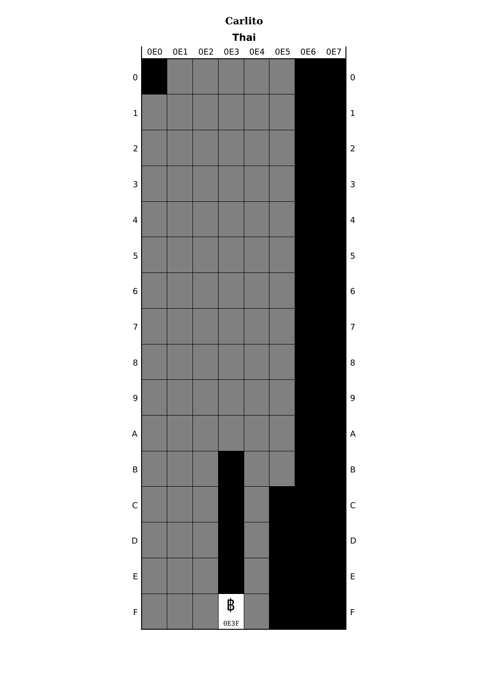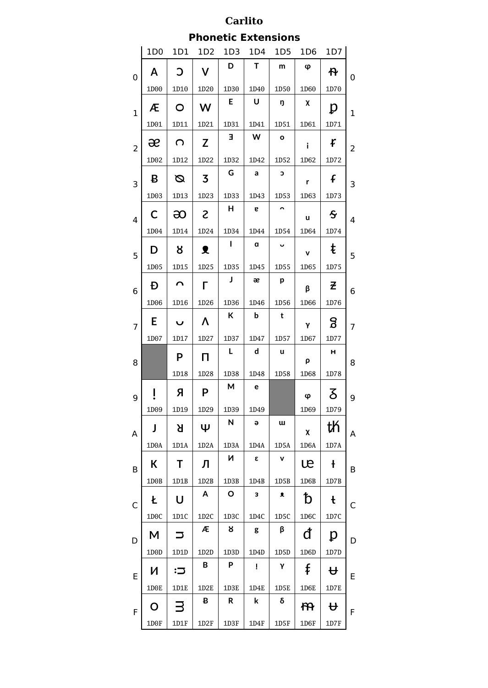**Phonetic Extensions**

|                | 1D <sub>0</sub>   | 1D1          | 1D2               | 1D3               | 1D4         | 1D5                  | 1D <sub>6</sub> | 1D7                     |                |
|----------------|-------------------|--------------|-------------------|-------------------|-------------|----------------------|-----------------|-------------------------|----------------|
| $\overline{0}$ | Α                 | C            | V                 | D                 | Τ           | m                    | φ               | ቶ                       | 0              |
|                | 1D00              | 1D10         | 1D20              | 1D30              | 1D40        | 1D50                 | 1D60            | 1D70                    |                |
| $\mathbf{1}$   | Æ                 | O            | W                 | E                 | U           | ŋ                    | χ               | p                       | $\mathbf{1}$   |
|                | 1D01              | 1D11         | 1D21              | 1D31              | 1D41        | 1D51                 | 1D61            | 1D71                    |                |
| $\overline{c}$ | æ                 | ∩            | Z                 | Е                 | W           | $\mathbf{o}$         | i               | f                       | $\overline{2}$ |
|                | 1D02              | 1D12         | 1D22              | 1D32              | 1D42        | 1D52                 | 1D62            | 1D72                    |                |
| 3              | B                 | Ø            | 3                 | G                 | a           | С                    | r               | f                       | 3              |
|                | 1D03              | 1D13         | 1D23              | 1D33              | 1D43        | 1D53                 | 1D63            | 1D73                    |                |
| $\overline{4}$ | С                 | ဆ            | S                 | н                 | 6           | $\overline{ }$       | u               | $\mathbf S$             | 4              |
|                | 1D04              | 1D14         | 1D24              | 1D34              | 1D44        | 1D54                 | 1D64            | 1D74                    |                |
| 5              | D                 | 8            | ₹                 | Ш                 | $\mathbf a$ | $\ddot{\phantom{0}}$ | $\mathbf{v}$    | ŧ                       | 5              |
|                | 1D05              | 1D15         | 1D25              | 1D35              | 1D45        | 1D55                 | 1D65            | 1D75                    |                |
| 6              | Đ                 | ⌒            | г                 | J                 | æ           | p                    | β               | 군                       | 6              |
|                | 1D06              | 1D16         | 1D26              | 1D36              | 1D46        | 1D56                 | 1D66            | 1D76                    |                |
| $\overline{7}$ | E                 | U            | Λ                 | К                 | þ           | t                    | γ               | 8                       | 7              |
|                | 1D07              | 1D17         | 1D27              | 1D37              | 1D47        | 1D57                 | 1D67            | 1D77                    |                |
| 8              |                   | P            | П                 | L                 | d           | u                    | ρ               | н                       | 8              |
|                |                   | 1D18         | 1D28              | 1D38              | 1D48        | 1D58                 | 1D68            | 1D78                    |                |
| 9              |                   | Я            | P                 | М                 | e           |                      | φ               | δ                       | 9              |
|                | 1D09              | 1D19         | 1D29              | 1D39              | 1D49        |                      | 1D69            | 1D79                    |                |
| Α              | J                 | Я            | Ψ                 | N                 | Э           | w                    | χ               | th                      | A              |
|                | 1D <sub>0</sub> A | 1D1A         | 1D2A              | 1D3A              | 1D4A        | 1D5A                 | 1D6A            | 1D7A                    |                |
| B              | К                 | Т            | Л                 | И                 | ε           | V                    | œ               | Ł                       | B              |
|                | 1D0B              | 1D1B         | 1D2B              | 1D3B              | 1D4B        | 1D5B                 | 1D6B            | 1D7B                    |                |
| C              | Ł                 | U            | A                 | O                 | 3           | 文                    | đ               | $\mathbf t$             | $\mathsf{C}$   |
|                | 1D <sub>0</sub> C | 1D1C         | 1D2C              | 1D <sub>3</sub> C | 1D4C        | 1D5C                 | 1D6C            | 1D7C                    |                |
| D              | M                 | コ            | Æ                 | 8                 | g           | β                    | đ               | p                       | D              |
|                | 1D <sub>0</sub> D | 1D1D         | 1D <sub>2</sub> D | 1D3D              | 1D4D        | 1D5D                 | 1D6D            | 1D7D                    |                |
| E              | И                 | $\mathbf{C}$ | В                 | P                 | Ţ           | γ                    | ŧ               | ₩                       | E              |
|                | 1D <sub>0</sub> E | 1D1E         | 1D2E              | 1D3E              | 1D4E        | 1D5E                 | 1D6E            | 1D7E                    |                |
| F              | O                 | 3            | ₿                 | R.                | k           | δ                    | ł۴              | $\overline{\mathbf{t}}$ | F              |
|                | 1D0F              | 1D1F         | 1D2F              | 1D3F              | 1D4F        | 1D5F                 | 1D6F            | 1D7F                    |                |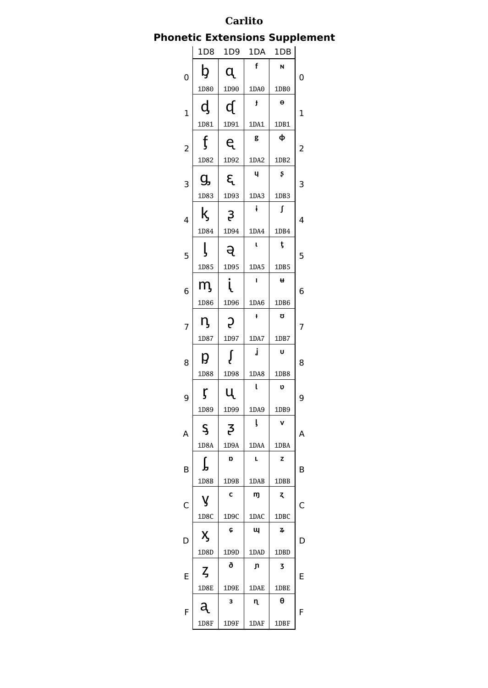## **Phonetic Extensions Supplement**

|                         | 1D8               | 1D <sub>9</sub> | 1DA            | 1DB              |   |
|-------------------------|-------------------|-----------------|----------------|------------------|---|
| 0                       | b                 | q               | $\mathbf{f}$   | N                | 0 |
|                         | 1D80              | 1D90            | 1DA0           | 1DB <sub>0</sub> |   |
| $\mathbf 1$             | d                 | ď               | ł              | Θ                | 1 |
|                         | 1D81              | 1D91            | 1DA1           | 1DB1             |   |
| $\overline{\mathbf{c}}$ | f                 | ę               | g              | ф                | 2 |
|                         | 1D82              | 1D92            | 1DA2           | 1DB2             |   |
| 3                       | g,                | દ્              | Ч              | Ş                | 3 |
|                         | 1D83              | 1D93            | 1DA3           | 1DB3             |   |
| 4                       | ķ                 | $\mathfrak{z}$  | ŧ              | ſ                | 4 |
|                         | 1D84              | 1D94            | 1DA4           | 1DB4             |   |
| 5                       | ļ                 | ą               | t              | ţ                | 5 |
|                         | 1D85              | 1D95            | 1DA5           | 1DB5             |   |
| 6                       | m,                | į               | $\blacksquare$ | Ħ                | 6 |
|                         | 1D86              | 1D96            | 1DA6           | 1DB6             |   |
| 7                       | Ŋ                 | S               | ł              | IJ               | 7 |
|                         | 1D87              | 1D97            | 1DA7           | 1DB7             |   |
| 8                       | р                 | Į               | j              | U                | 8 |
|                         | 1D88              | 1D98            | 1DA8           | 1DB8             |   |
| 9                       | ŗ                 | U.              | t              | υ                | 9 |
|                         | 1D89              | 1D99            | 1DA9           | 1DB9             |   |
| A                       | Ş                 | 3               | ļ              | ۷                | Α |
|                         | 1D8A              | 1D9A            | 1DAA           | 1DBA             |   |
| B                       | ſ                 | D               | L              | z                | В |
|                         | 1D8B              | 1D9B            | 1DAB           | 1DBB             |   |
| C                       | у                 | C               | m              | Z,               | C |
|                         | 1D <sub>8</sub> C | 1D9C            | 1DAC           | 1DBC             |   |
| D                       | X,                | ¢               | Щ              | 7,               | D |
|                         | 1D8D              | 1D9D            | 1DAD           | 1DBD             |   |
| E                       | ζ                 | ð               | ŋ              | 3                | Ε |
|                         | <b>1D8E</b>       | 1D9E            | 1DAE           | 1DBE             |   |
| F                       |                   | 3               | η              | θ                | F |
|                         | 1D8F              | 1D9F            | 1DAF           | 1DBF             |   |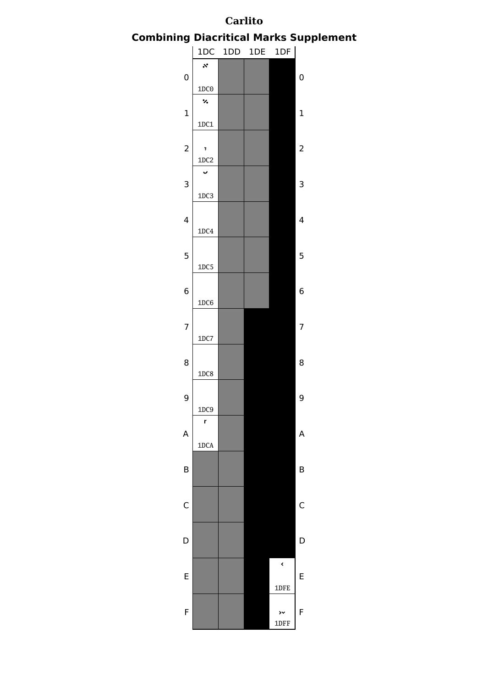**Combining Diacritical Marks Supplement**

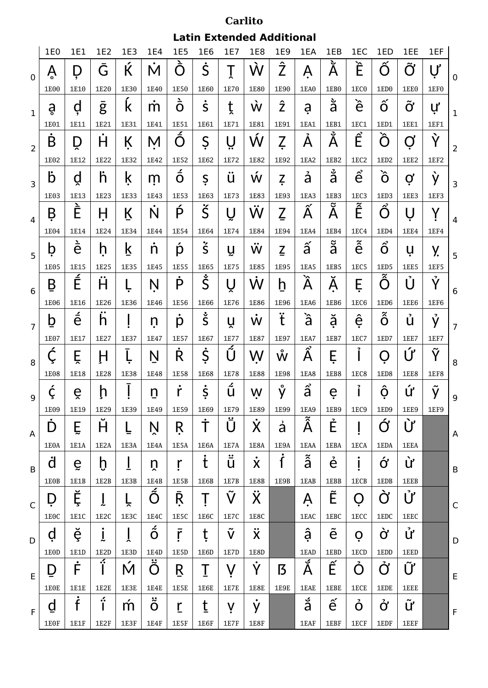**Latin Extended Additional**

|                | 1E0               | 1E1                  | 1E2               | 1E3  | 1E4                         | <b>1E5</b>      | 1E6                        | 1E7                  | 1E8                 | <b>1E9</b>         | 1EA                            | 1EB              | 1EC                        | 1ED                             | 1EE             | 1EF              |                |
|----------------|-------------------|----------------------|-------------------|------|-----------------------------|-----------------|----------------------------|----------------------|---------------------|--------------------|--------------------------------|------------------|----------------------------|---------------------------------|-----------------|------------------|----------------|
| $\overline{0}$ | Ŗ                 | D                    | Ğ                 | Ќ    | M                           | O               | Ś                          | Τ                    | Ŵ                   | $\hat{\mathsf{Z}}$ | Ą                              | پ<br>Α           | È                          | O                               | $\tilde{O}$     | $\overline{U}$   | $\mathbf 0$    |
|                | 1E00              | 1E10                 | 1E20              | 1E30 | 1E40                        | 1E50            | 1E60                       | 1E70                 | 1E80                | 1E90               | 1EA0                           | 1EB <sub>0</sub> | 1EC0                       | 1ED <sub>0</sub>                | 1EE0            | 1EF <sub>0</sub> |                |
| $\mathbf{1}$   | å                 | d                    | g                 | k    | m                           | $\dot{\vec{O}}$ | Š                          | t                    | Ŵ                   | ź                  | a                              | ă                | è                          | $\hat{o}$                       | $\bf\tilde{O}'$ | ư                | $\mathbf 1$    |
|                | 1E01              | 1E11                 | 1E21              | 1E31 | 1E41                        | 1E51            | 1E61                       | 1E71                 | 1E81                | 1E91               | 1EA1                           | <b>1EB1</b>      | 1EC1                       | 1ED1                            | <b>1EE1</b>     | <b>1EF1</b>      |                |
| $\overline{2}$ | B                 | D                    | Ĥ                 | К    | M                           | Ó               | Ş                          | Ų                    | Ŵ                   | Z                  | A                              | ݮ<br>Α           | Ê                          | Ő                               | Ø               | Ý                | $\overline{2}$ |
|                | 1E02              | 1E12                 | 1E22              | 1E32 | 1E42                        | 1E52            | 1E62                       | 1E72                 | 1E82                | 1E92               | 1EA2                           | 1EB <sub>2</sub> | 1EC <sub>2</sub>           | 1ED <sub>2</sub>                | 1EE2            | 1EF2             |                |
| $\overline{3}$ | b                 | ă                    | ĥ                 | k    | m                           | ◢<br>O          | Ş                          | u                    | Ŵ                   | Z                  | ả                              | å                | $\hat{e}$                  | ő                               | Ø               | ý                | 3              |
|                | 1E03              | 1E13                 | 1E23              | 1E33 | 1E43                        | 1E53            | 1E63                       | 1E73                 | 1E83                | 1E93               | 1EA3                           | 1EB3             | 1EC <sub>3</sub>           | 1ED3                            | 1EE3            | 1EF3             |                |
| $\overline{4}$ | Β                 | È                    | H                 | К    | Ń                           | Ŕ               | Š                          | U                    | W                   | Ź                  | ∼<br>Α                         | ೮<br>A           | $\tilde{\hat{\mathsf{E}}}$ | Ő                               | $\mathsf{I}$    | Y                | 4              |
|                | 1E04              | 1E14                 | 1E24              | 1E34 | 1E44                        | 1E54            | 1E64                       | 1E74                 | 1E84                | 1E94               | 1EA4                           | 1EB4             | 1EC4                       | 1ED4                            | 1EE4            | <b>1EF4</b>      |                |
| 5              | þ                 | è                    | h                 | k    | n                           | p               | $\mathsf{\dot{S}}$         | Ų                    | Ŵ                   | $\overline{2}$     | ã                              | ã                | $\tilde{\hat{e}}$          | $\hat{o}$                       | u               | У.               | 5              |
|                | 1E05              | 1E15                 | 1E25              | 1E35 | 1E45                        | 1E55            | 1E65                       | 1E75                 | 1E85                | 1E95               | 1EA5                           | 1EB5             | 1EC <sub>5</sub>           | 1ED5                            | 1EE5            | 1EF5             |                |
| 6              | B                 | É                    | Ĥ                 |      | N                           | P               | Š                          | Ų                    | W                   | h                  | ↘<br>A                         | A                | E                          | $\tilde{\hat{\Omega}}$          | U               | Ý                | 6              |
|                | 1E06              | 1E16                 | 1E26              | 1E36 | 1E46                        | 1E56            | 1E66                       | 1E76                 | 1E86                | 1E96               | 1EA6                           | 1EB6             | 1EC6                       | 1ED6                            | 1EE6            | 1EF6             |                |
| $\overline{7}$ | þ                 | $\acute{\mathrm{e}}$ | h                 |      | n                           | р               | $\dot{\check{\mathsf{S}}}$ | ň                    | W                   | Ï                  | à                              | ă                | ệ                          | $\tilde{z}$<br>O                | u               | Ý                | 7              |
|                | 1E07              | 1E17                 | 1E27              | 1E37 | 1E47                        | 1E57            | 1E67                       | 1E77<br>پر           | 1E87                | 1E97               | 1EA7<br>Ω.                     | 1EB7             | 1EC7<br>2                  | 1ED7                            | 1EE7            | 1EF7             |                |
| 8              | Ć                 | Ě                    | H                 |      | Ņ                           | Ŕ               | Ş                          | Ũ                    | W                   | Ŵ                  | A                              | E                |                            | O                               | Ú               | Ŷ                | 8              |
|                | 1E08              | 1E18                 | 1E28              | 1E38 | 1E48                        | 1E58            | 1E68                       | 1E78                 | 1E88                | 1E98               | 1EA8                           | 1EB8             | 1EC8                       | 1ED8                            | 1EE8            | <b>1EF8</b>      |                |
| 9              | Ç                 | ě                    | ņ                 |      | n                           | r               | S                          | L<br>u               | W                   | $\bullet$<br>ý     | $\hat{\mathsf{a}}$             | e                | 7                          | O                               | ứ               | У                | 9              |
|                | 1E09              | 1E19                 | 1E29              | 1E39 | 1E49                        | 1E59            | 1E69                       | 1E79                 | 1E89                | 1E99               | 1EA9                           | 1EB9             | 1EC9                       | 1ED9                            | 1EE9            | 1EF9             |                |
| Α              | Ď                 | Ĕ                    | Ĥ                 |      | Ņ                           | Ŗ               | Ť                          | Ü                    | X                   | à                  | $\boldsymbol{\tilde{\hat{A}}}$ | Ė                |                            | Ó                               | Ù               |                  | $\overline{A}$ |
|                | 1E0A              | <b>1E1A</b>          | 1E <sub>2</sub> A | 1E3A | 1E4A                        | 1E5A            | 1E6A                       | 1E7A                 | <b>1E8A</b>         | 1E9A               | 1EAA                           | 1EBA             | 1ECA                       | <b>1EDA</b>                     | <b>1EEA</b>     |                  |                |
| B              | d                 | Ğ.                   | þ                 |      | ņ                           | ŗ               | $\dot{t}$                  | $\ddot{\bar{u}}$     | $\dot{\mathsf{x}}$  | İ                  | ã                              | é                |                            | ớ                               | Ù               |                  | $\mathsf B$    |
|                | 1E0B              | 1E1B                 | 1E2B              | 1E3B | 1E4B                        | 1E5B            | 1E6B                       | 1E7B                 | 1E8B                | 1E9B               | 1EAB                           | <b>1EBB</b>      | <b>1ECB</b>                | 1EDB                            | <b>1EEB</b>     |                  |                |
| $\mathsf{C}$   | Ď                 | Ĕ                    |                   | ř    | $\acute{\mathrm{O}}$        | Ŗ               |                            | $\tilde{\mathsf{V}}$ | Ÿ                   |                    | Ą                              | Ê                | O                          | Ò                               | $\mathring{U}'$ |                  | $\mathsf{C}$   |
|                | 1E <sub>0</sub> C | <b>1E1C</b>          | 1E <sub>2</sub> C | 1E3C | 1E4C                        | 1E5C            | 1E6C                       | 1E7C                 | 1E8C                |                    | 1EAC                           | 1EBC             | 1ECC                       | 1EDC                            | 1EEC            |                  |                |
| D              | d                 | ĕ                    |                   | ř    | $\ddot{\tilde{\mathrm{o}}}$ | ŗ               | ţ                          | $\tilde{\mathsf{V}}$ | $\ddot{\mathsf{x}}$ |                    | ậ                              | $\tilde{e}$      | Ò                          | ờ                               | ử               |                  | D              |
|                | 1E0D              | <b>1E1D</b>          | 1E2D<br>Ý         | 1E3D | 1E4D                        | 1E5D            | 1E6D                       | 1E7D                 | <b>1E8D</b>         |                    | 1EAD<br>ي                      | 1EBD             | 1ECD                       | 1EDD                            | 1EED            |                  |                |
| $\mathsf E$    | Ď                 | Ė                    |                   | Ń    | Ö                           | Ŗ               | Τ                          | V                    | Ý                   | ß                  | A                              | Ê                | O                          | Ở                               | Ũ               |                  | $\mathsf E$    |
|                | 1E0E              | 1E1E                 | 1E2E              | 1E3E | <b>1E4E</b>                 | 1E5E            | 1E6E                       | 1E7E                 | 1E8E                | 1E9E               | <b>1EAE</b>                    | <b>1EBE</b>      | <b>1ECE</b>                | 1EDE                            | <b>1EEE</b>     |                  |                |
| F              | $\overline{d}$    | Ė                    | í                 | m    | $\ddot{\tilde{\mathrm{o}}}$ | ŗ               | t                          | $\mathsf{V}$         | ý                   |                    | å                              | $\hat{e}$        | Ò                          | $\boldsymbol{\dot{\textbf{C}}}$ | Ũ               |                  | $\mathsf{F}$   |
|                | 1E0F              | 1E1F                 | 1E2F              | 1E3F | 1E4F                        | 1E5F            | 1E6F                       | 1E7F                 | 1E8F                |                    | <b>1EAF</b>                    | 1EBF             | 1ECF                       | 1EDF                            | <b>1EEF</b>     |                  |                |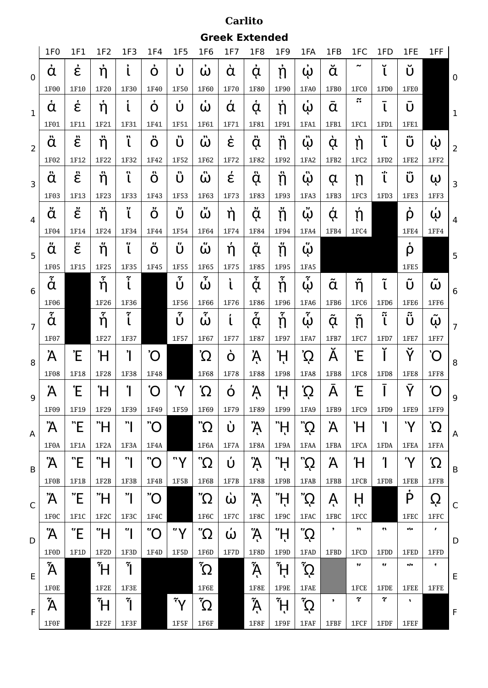**Greek Extended**

|                 | 1F <sub>0</sub>        | 1F1                     | 1F <sub>2</sub>              | 1F <sub>3</sub> | 1F4            | <b>1F5</b>                | 1F6                  | 1F7            | 1F8                           | 1F9                   | 1FA              | 1FB              | 1FC                      | 1FD                        | 1FE                                                   | 1FF            |                 |
|-----------------|------------------------|-------------------------|------------------------------|-----------------|----------------|---------------------------|----------------------|----------------|-------------------------------|-----------------------|------------------|------------------|--------------------------|----------------------------|-------------------------------------------------------|----------------|-----------------|
| $\mathbf 0$     | ά                      | έ                       | ή                            |                 | O              | Ú                         | ω                    | ά              | ά                             | ຸ່ກ                   | ω                | ă                | ∼                        | Ÿ                          | Ú                                                     |                | $\mathbf 0$     |
|                 | 1F00                   | 1F10                    | 1F20                         | 1F30            | 1F40           | 1F50                      | 1F60                 | 1F70           | 1F80                          | 1F90                  | 1FA0             | 1FB0             | 1FC0                     | 1FD <sub>0</sub>           | 1FE0                                                  |                |                 |
| $\mathbf{1}$    | ά                      | έ                       | 'n                           | š.<br>ι         | 2<br>O         | Ů                         | ω                    | ά              | ą                             | 'n                    | ω                | $\alpha$         | $\approx$                | $\mathsf{L}$               | U                                                     |                | $\mathbf 1$     |
|                 | 1F01                   | 1F11                    | 1F21                         | 1F31            | 1F41           | 1F51                      | 1F61                 | 1F71           | 1F81                          | 1F91                  | 1FA1             | 1FB1             | 1FC1                     | 1FD1                       | <b>1FE1</b>                                           |                |                 |
| $\overline{2}$  | ä                      | $\ddot{\hat{\epsilon}}$ | ή                            | 23<br>ι         | Ö              | ΰ                         | ὢ                    | έ              | ä                             | 'n                    | $\ddot{\omega}$  | Ģ                | ຸຖ                       | Ϊ                          | ΰ                                                     | ώ              | $\overline{2}$  |
|                 | 1F02                   | 1F12                    | 1F22                         | 1F32            | 1F42           | 1F52                      | 1F62                 | 1F72           | 1F82                          | 1F92                  | 1FA2             | 1FB2             | 1FC <sub>2</sub>         | 1FD <sub>2</sub>           | 1FE <sub>2</sub>                                      | 1FF2           |                 |
| 3               | ä                      | έ                       | ή                            | Ġ.              | 57<br>O        | ΰ                         | w<br>ω               | έ              | ä                             | ີ່ຖ                   | 61<br>ώ          | ά                | ຸຖ                       | ΐ                          | .,<br>Ú                                               | ω              | 3               |
|                 | 1F03                   | 1F13                    | 1F23                         | 1F33            | 1F43           | 1F53                      | 1F63                 | 1F73           | 1F83                          | 1F93                  | 1FA3             | 1FB3             | 1FC3                     | 1FD3                       | 1FE3                                                  | 1FF3           |                 |
| $\overline{4}$  | "<br>$\alpha$          | έ                       | ň                            | 91              | O              | 91<br>Û                   | ω                    | ή              | ặ                             | ņ                     | ώ                | ą                | Ń                        |                            | ρ                                                     | $\dot{\omega}$ | 4               |
|                 | 1F04                   | 1F14                    | 1F24                         | 1F34            | 1F44           | 1F54                      | 1F64                 | 1F74           | 1F84                          | 1F94                  | 1FA4             | 1FB4             | 1FC4                     |                            | 1FE4                                                  | <b>1FF4</b>    |                 |
| 5               | ä                      | ξ                       | ή                            | ę,<br>ι         | u<br>O         | u<br>Ũ                    | $\bullet$<br>ω       | ή              | ₩.<br>à                       | ň                     | w<br>ω           |                  |                          |                            | ρ                                                     |                | 5               |
|                 | 1F05                   | 1F15                    | 1F25                         | 1F35            | <b>1F45</b>    | 1F55                      | 1F65                 | 1F75           | <b>1F85</b>                   | 1F95                  | 1FA5             |                  |                          |                            | 1FE5                                                  |                |                 |
| $6\phantom{1}6$ | $\tilde{\dot{\alpha}}$ |                         | ້າ                           | Ĩ               |                | $\widetilde{\bm{r}}$<br>Ú | $\tilde{ }$<br>ω     | U              | $\widetilde{\mathbf{y}}$<br>ά | ň                     | $\tilde{r}$<br>ώ | $\tilde{\alpha}$ | ñ                        | $\tilde{\phantom{a}}$<br>ι | U                                                     | ω              | $6\phantom{1}6$ |
|                 | 1F06                   |                         | 1F26                         | 1F36            |                | 1F56                      | 1F66                 | 1F76           | 1F86                          | 1F96                  | 1FA6             | 1FB6             | 1FC6                     | 1FD6                       | 1FE6                                                  | 1FF6           |                 |
| $\overline{7}$  | $\tilde{\dot{\alpha}}$ |                         | $\tilde{\check{\mathsf{n}}}$ | ڄ               |                | Ů                         | <b>7</b><br>ω        | t              | $\tilde{\mathbf{r}}$<br>ą     | ň                     | 7<br>ω           | $\alpha$         | ຐ                        | $\approx$                  | $\approx$<br>U                                        | ω              | $\overline{7}$  |
|                 | 1F07                   |                         | 1F27                         | 1F37            |                | 1F57                      | 1F67                 | <b>1F77</b>    | <b>1F87</b>                   | 1F97                  | 1FA7             | 1FB7             | 1FC7                     | 1FD7                       | 1FE7                                                  | 1FF7           |                 |
| 8               | Ά                      | Έ                       | Ή                            | Ί               | Õ              |                           | Ώ                    | O              | Ą                             | ΪĻ                    | Ω                | Α                | Έ                        |                            | Ÿ                                                     | `O             | 8               |
|                 | 1F08                   | 1F18                    | 1F28                         | 1F38            | 1F48           |                           | 1F68                 | 1F78           | <b>1F88</b>                   | 1F98                  | 1FA8             | 1FB8             | 1FC8                     | 1FD8                       | 1FE8                                                  | <b>1FF8</b>    |                 |
| $\overline{9}$  | Ά                      | Έ                       | Ή                            | ។               | 'O             | 'Y                        | $\Omega$             | O              | Ą                             | Ή,                    | Ω                | Α                | Έ                        |                            | Ÿ                                                     | Ό              | 9               |
|                 | 1F09                   | 1F19                    | 1F29                         | 1F39            | 1F49           | 1F59                      | 1F69                 | 1F79           | 1F89                          | 1F99                  | 1FA9             | 1FB9             | 1FC9                     | 1FD9                       | 1FE9                                                  | 1FF9           |                 |
| A               | Ά                      | "E                      | "H                           | ויי             | $\overline{O}$ |                           | Ώ"                   | Ù              | Ά,                            | η"                    | ζ2¨              | Ά                | Ή                        | ľ                          | 'Y                                                    | Ω΄             | A               |
|                 | 1F0A                   | 1F1A                    | 1F2A                         | 1F3A            | 1F4A           |                           | 1F6A                 | 1F7A           | 1F8A                          | 1F9A                  | 1FAA             | 1FBA             | 1FCA                     | 1FDA                       | <b>1FEA</b>                                           | 1FFA           |                 |
| B               | Ά                      | "Е                      | "H                           | "'              | O              | "Y                        | $\Omega^{\text{''}}$ | Ú              | Ą.                            | Ψ,                    | ς?"              | Ά                | Ή                        | Ί                          | 'Y                                                    | Ώ              | B               |
|                 | 1F0B                   | 1F1B                    | $1F2B$                       | 1F3B            | $1F4B$         | 1F5B                      | 1F6B                 | 1F7B           | <b>1F8B</b>                   | 1F9B                  | <b>1FAB</b>      | <b>1FBB</b>      | 1FCB                     | 1FDB                       | <b>1FEB</b>                                           | <b>1FFB</b>    |                 |
| $\mathsf{C}$    | Ά                      | "E"                     | "H                           | "               | $\overline{O}$ |                           | $'\Omega$            | $\dot{\omega}$ | Ά                             | ΤŢ,                   | $\Omega$ "       | Ą                | Ĥ                        |                            | P                                                     | Ç              | $\mathsf{C}$    |
|                 | 1F <sub>0</sub> C      | 1F1C                    | 1F <sub>2</sub> C            | 1F3C            | 1F4C           |                           | 1F6C                 | 1F7C           | 1F8C                          | 1F9C                  | 1FAC             | <b>1FBC</b>      | 1FCC                     |                            | 1FEC                                                  | 1FFC           |                 |
| D               | Ά                      | "E"                     | "H                           | ី               | $\overline{O}$ | "Y                        | Ώ"                   | $\dot{\omega}$ | Ą                             | "H                    | $\dot{\Omega}$   | $\bullet$        | 91                       | m                          | $^{\bullet\hspace{0.5pt}\prime\hspace{0.5pt}\bullet}$ | $\pmb{r}$      | D               |
|                 | 1F0D                   | 1F1D                    | 1F2D                         | 1F3D            | 1F4D           | 1F5D                      | 1F6D                 | 1F7D           | 1F8D                          | 1F9D                  | 1FAD             | 1FBD             | 1FCD                     | 1FDD                       | 1FED                                                  | 1FFD           |                 |
| E               | ĨΑ                     |                         | ĨН                           | Ĩ١              |                |                           | $\tilde{\Omega}$     |                | Ã                             | $\tilde{\mathcal{H}}$ | $\tilde{\Omega}$ |                  | 97                       | ę,                         | $^{\bullet}$                                          | $\bullet$      | E               |
|                 | 1F0E                   |                         | 1F2E                         | 1F3E            |                |                           | 1F6E                 |                | 1F8E                          | 1F9E                  | 1FAE             |                  | 1FCE                     | 1FDE                       | <b>1FEE</b>                                           | 1FFE           |                 |
| F               | Ã                      |                         | ιŤ                           | Ĩ١              |                | $\tilde{Y}$               | $\tilde{\Omega}$     |                | $\tilde{\mathsf{A}}$          | ۴j                    | $\tilde{\Omega}$ | $\bullet$        | $\widetilde{\mathbf{y}}$ | $\widetilde{\mathfrak{c}}$ | $\blacksquare$                                        |                | $\mathsf F$     |
|                 | 1F0F                   |                         | 1F2F                         | 1F3F            |                | 1F5F                      | $1F6F$               |                | <b>1F8F</b>                   | $1F9F$                | <b>1FAF</b>      | 1FBF             | 1FCF                     | 1FDF                       | 1FEF                                                  |                |                 |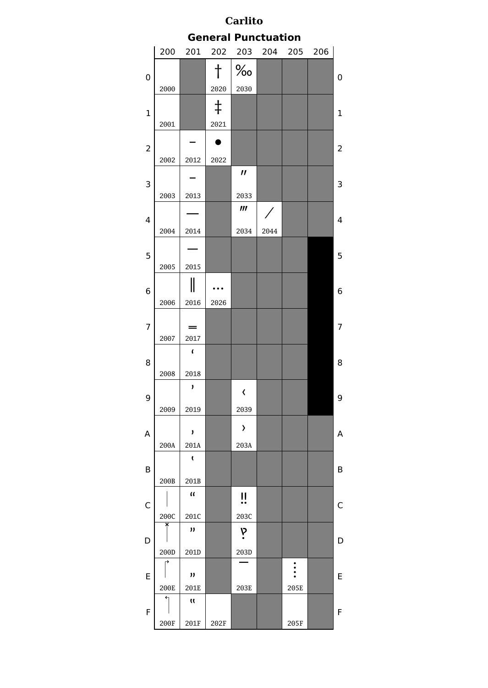| <b>Carlito</b><br><b>General Punctuation</b> |             |                             |            |                             |      |      |  |                |  |  |  |  |  |
|----------------------------------------------|-------------|-----------------------------|------------|-----------------------------|------|------|--|----------------|--|--|--|--|--|
|                                              |             |                             |            |                             |      |      |  |                |  |  |  |  |  |
|                                              | 200         | 201                         | 202        | 204                         | 205  | 206  |  |                |  |  |  |  |  |
| 0                                            |             |                             |            | ℅                           |      |      |  | 0              |  |  |  |  |  |
|                                              | 2000        |                             | 2020       | 2030                        |      |      |  |                |  |  |  |  |  |
| 1                                            |             |                             | $\ddagger$ |                             |      |      |  | $\mathbf{1}$   |  |  |  |  |  |
|                                              | 2001        |                             | 2021       |                             |      |      |  |                |  |  |  |  |  |
| $\overline{\mathbf{c}}$                      |             |                             |            |                             |      |      |  | 2              |  |  |  |  |  |
|                                              | 2002        | 2012                        | 2022       |                             |      |      |  |                |  |  |  |  |  |
| 3                                            |             |                             |            | $\boldsymbol{\prime\prime}$ |      |      |  | 3              |  |  |  |  |  |
|                                              | 2003        | 2013                        |            | 2033                        |      |      |  |                |  |  |  |  |  |
| 4                                            |             |                             |            | $\boldsymbol{m}$            |      |      |  | $\overline{4}$ |  |  |  |  |  |
|                                              | 2004        | 2014                        |            | 2034                        | 2044 |      |  |                |  |  |  |  |  |
| 5                                            |             |                             |            |                             |      |      |  | 5              |  |  |  |  |  |
|                                              | 2005        | 2015                        |            |                             |      |      |  |                |  |  |  |  |  |
| 6                                            |             |                             |            |                             |      |      |  | 6              |  |  |  |  |  |
|                                              | 2006        | 2016                        | 2026       |                             |      |      |  |                |  |  |  |  |  |
| 7                                            |             |                             |            |                             |      |      |  | $\overline{7}$ |  |  |  |  |  |
|                                              | 2007        | 2017                        |            |                             |      |      |  |                |  |  |  |  |  |
|                                              |             | $\mathbf{r}$                |            |                             |      |      |  |                |  |  |  |  |  |
| 8                                            | 2008        | 2018                        |            |                             |      |      |  | 8              |  |  |  |  |  |
|                                              |             | J                           |            | $\overline{\textbf{C}}$     |      |      |  |                |  |  |  |  |  |
| 9                                            | 2009        | 2019                        |            | 2039                        |      |      |  | 9              |  |  |  |  |  |
|                                              |             | ,                           |            | $\lambda$                   |      |      |  |                |  |  |  |  |  |
| A                                            | 200A        | 201A                        |            | 203A                        |      |      |  | A              |  |  |  |  |  |
|                                              |             | <b>t</b>                    |            |                             |      |      |  |                |  |  |  |  |  |
| B                                            | 200B        | 201B                        |            |                             |      |      |  | B              |  |  |  |  |  |
|                                              |             | $\mathfrak{a}$              |            | !!                          |      |      |  |                |  |  |  |  |  |
| C                                            | 200C        | 201C                        |            | 203C                        |      |      |  | $\mathsf{C}$   |  |  |  |  |  |
|                                              | ×           | "                           |            | P                           |      |      |  |                |  |  |  |  |  |
| D                                            | 200D        | 201D                        |            | 203D                        |      |      |  | D              |  |  |  |  |  |
|                                              |             |                             |            |                             |      |      |  |                |  |  |  |  |  |
| Ε                                            | <b>200E</b> | $\boldsymbol{\eta}$<br>201E |            | 203E                        |      | 205E |  | E              |  |  |  |  |  |
|                                              |             | $\mathbf{u}$                |            |                             |      |      |  |                |  |  |  |  |  |
| F                                            | 200F        | 201F                        | 202F       |                             |      | 205F |  | F              |  |  |  |  |  |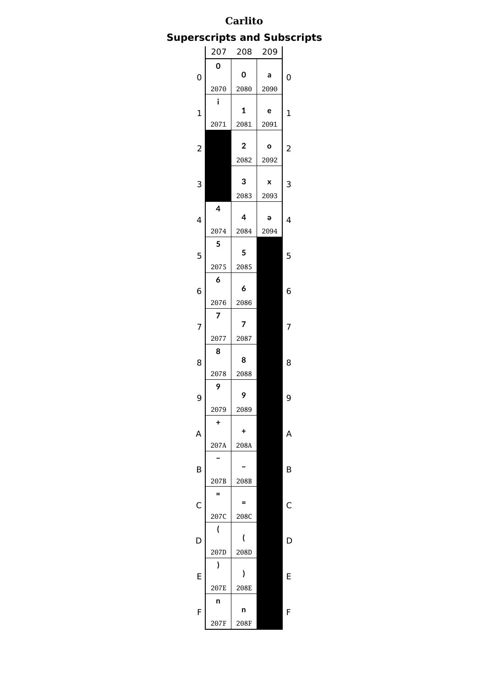# **Superscripts and Subscripts**

|                         | 207  | 208                     | 209       |                |
|-------------------------|------|-------------------------|-----------|----------------|
|                         | 0    | O                       |           |                |
| 0                       | 2070 | 2080                    | а<br>2090 | 0              |
|                         | i    |                         |           |                |
| $\mathbf{1}$            |      | $\mathbf{1}$            | e         | $\overline{1}$ |
|                         | 2071 | 2081                    | 2091      |                |
| $\overline{\mathbf{c}}$ |      | $\overline{\mathbf{c}}$ | O         | 2              |
|                         |      | 2082                    | 2092      |                |
|                         |      |                         |           |                |
| 3                       |      | 3                       | X         | 3              |
|                         | 4    | 2083                    | 2093      |                |
| 4                       |      | 4                       | э         | 4              |
|                         | 2074 | 2084                    | 2094      |                |
|                         | 5    | 5                       |           | 5              |
| 5                       | 2075 | 2085                    |           |                |
|                         | 6    |                         |           |                |
| 6                       |      | 6                       |           | 6              |
|                         | 2076 | 2086                    |           |                |
| 7                       | 7    | 7                       |           | 7              |
|                         | 2077 | 2087                    |           |                |
|                         | 8    |                         |           |                |
| 8                       |      | 8                       |           | 8              |
|                         | 2078 | 2088                    |           |                |
| 9                       | 9    | 9                       |           | 9              |
|                         | 2079 | 2089                    |           |                |
|                         | Ŧ    |                         |           |                |
| A                       | 207A | +<br>208A               |           | Α              |
|                         |      |                         |           |                |
| B                       |      |                         |           | В              |
|                         | 207B | 208B                    |           |                |
|                         | $=$  | =                       |           |                |
| C                       | 207C | 208C                    |           | C              |
|                         | (    |                         |           |                |
| D                       |      | (                       |           | C              |
|                         | 207D | 208D                    |           |                |
| E                       | ١    | $\mathbf{I}$            |           | E              |
|                         | 207E | 208E                    |           |                |
|                         | n    |                         |           |                |
| F                       |      | n                       |           | F              |
|                         | 207F | 208F                    |           |                |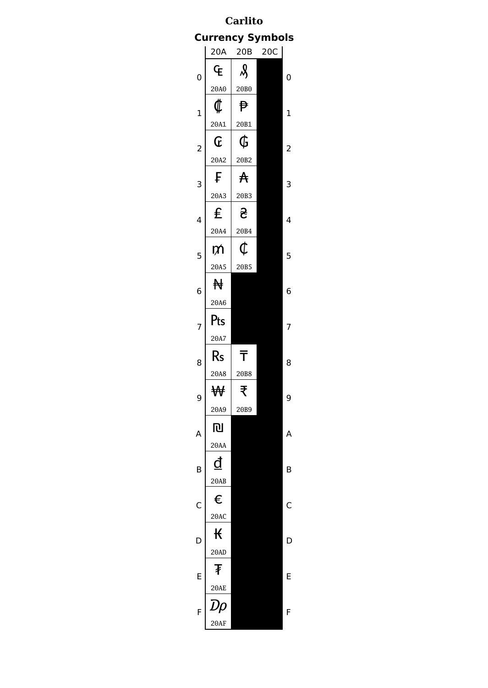# **Carlito Currency Symbols**

|                | 20A              | 20B                         | 20C |                |
|----------------|------------------|-----------------------------|-----|----------------|
| $\overline{0}$ | È                | $\mathcal{S}_{\mathcal{S}}$ |     | 0              |
|                | 20A0             | 20B0                        |     |                |
| $\mathbf 1$    | $\,\,\mathbb{Q}$ | ₱                           |     | $\mathbf 1$    |
|                | 20A1             | 20B1                        |     |                |
| $\overline{c}$ | Œ                | Ġ                           |     | $\overline{c}$ |
|                | 20A2             | 20B2                        |     |                |
| 3              | F                | $\mathsf{A}$                |     | 3              |
|                | 20A3             | 20B3                        |     |                |
| 4              | £                | <u>ج</u>                    |     | 4              |
|                | 20A4             | 20B4                        |     |                |
| 5              | DΛ               | ¢                           |     | 5              |
|                | 20A5             | 20B5                        |     |                |
| 6              | ₩                |                             |     | 6              |
|                | 20A6             |                             |     |                |
| 7              | Pts              |                             |     | 7              |
|                | 20A7             |                             |     |                |
|                |                  |                             |     |                |
| 8              | $\mathsf{Rs}$    | $\bar{\bar{\mathsf{T}}}$    |     | 8              |
|                | 20A8             | 20B8                        |     |                |
|                | ₩                | ₹                           |     | 9              |
| 9              | 20A9             | 20B9                        |     |                |
| A              | 心                |                             |     | Α              |
|                | 20AA             |                             |     |                |
|                | đ                |                             |     | B              |
| B              | 20AB             |                             |     |                |
|                | €                |                             |     | Ć              |
| C              | 20AC             |                             |     |                |
|                | К                |                             |     |                |
| D              | 20AD             |                             |     | D              |
|                | Ŧ                |                             |     |                |
| E              | <b>20AE</b>      |                             |     | E              |
| F              | Dρ               |                             |     | F              |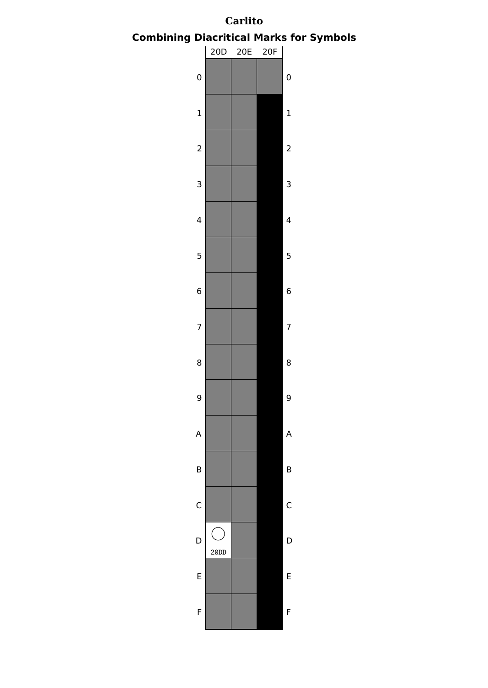

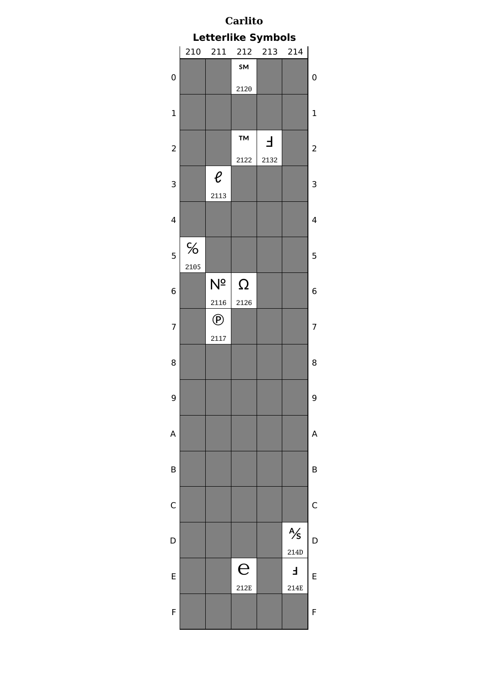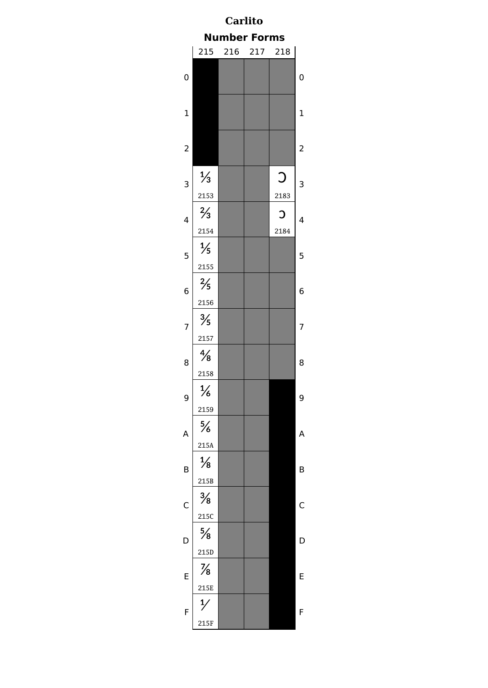| Carlito<br><b>Number Forms</b> |                       |  |         |                    |                |  |  |  |  |  |  |  |  |
|--------------------------------|-----------------------|--|---------|--------------------|----------------|--|--|--|--|--|--|--|--|
|                                |                       |  |         |                    |                |  |  |  |  |  |  |  |  |
|                                | 215                   |  | 216 217 | 218                |                |  |  |  |  |  |  |  |  |
| 0                              |                       |  |         |                    | 0              |  |  |  |  |  |  |  |  |
| $\mathbf 1$                    |                       |  |         |                    | $\mathbf{1}$   |  |  |  |  |  |  |  |  |
| $\overline{\mathbf{c}}$        |                       |  |         |                    | $\overline{c}$ |  |  |  |  |  |  |  |  |
| 3                              | $\frac{1}{3}$<br>2153 |  |         | $\bigcirc$<br>2183 | 3              |  |  |  |  |  |  |  |  |
| 4                              | $\frac{2}{3}$<br>2154 |  |         | C<br>2184          | 4              |  |  |  |  |  |  |  |  |
| 5                              | $\frac{1}{5}$<br>2155 |  |         |                    | 5              |  |  |  |  |  |  |  |  |
| 6                              | $\frac{2}{5}$<br>2156 |  |         |                    | 6              |  |  |  |  |  |  |  |  |
| $\overline{7}$                 | $\frac{3}{5}$<br>2157 |  |         |                    | 7              |  |  |  |  |  |  |  |  |
| 8                              | $\frac{4}{8}$<br>2158 |  |         |                    | 8              |  |  |  |  |  |  |  |  |
| 9                              | $\frac{1}{6}$<br>2159 |  |         |                    | g              |  |  |  |  |  |  |  |  |
| A                              | $\frac{5}{6}$<br>215A |  |         |                    | A              |  |  |  |  |  |  |  |  |
| B                              | $\frac{1}{8}$<br>215B |  |         |                    | B              |  |  |  |  |  |  |  |  |
| $\mathsf{C}$                   | $\frac{3}{8}$<br>215C |  |         |                    | C              |  |  |  |  |  |  |  |  |
| D                              | $\frac{5}{8}$<br>215D |  |         |                    | D              |  |  |  |  |  |  |  |  |
| E                              | $\frac{7}{8}$         |  |         |                    | E              |  |  |  |  |  |  |  |  |
| F                              | 215E<br>215F          |  |         |                    | F              |  |  |  |  |  |  |  |  |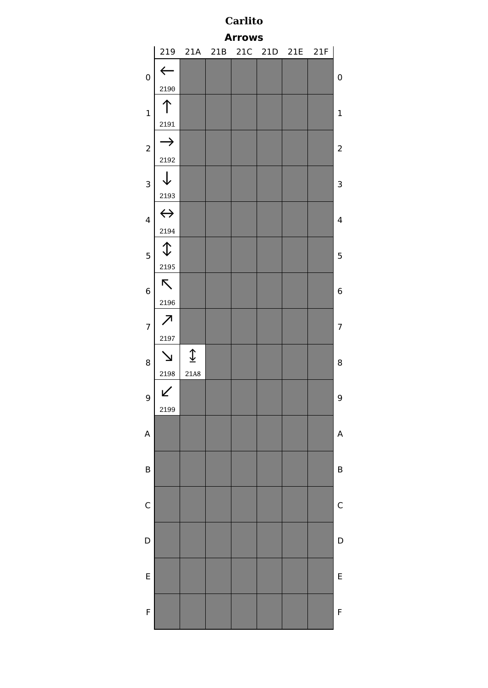| <b>Carlito</b>                               |                          |                    |  |  |  |  |  |             |  |  |  |  |  |  |
|----------------------------------------------|--------------------------|--------------------|--|--|--|--|--|-------------|--|--|--|--|--|--|
| <b>Arrows</b><br>219 21A 21B 21C 21D 21E 21F |                          |                    |  |  |  |  |  |             |  |  |  |  |  |  |
|                                              |                          |                    |  |  |  |  |  |             |  |  |  |  |  |  |
| $\mathbf 0$                                  | $\Leftarrow$<br>2190     |                    |  |  |  |  |  | 0           |  |  |  |  |  |  |
|                                              |                          |                    |  |  |  |  |  |             |  |  |  |  |  |  |
| $\mathbf 1$                                  | 2191                     |                    |  |  |  |  |  | $\mathbf 1$ |  |  |  |  |  |  |
|                                              | $\rightarrow$            |                    |  |  |  |  |  |             |  |  |  |  |  |  |
| $\overline{c}$                               | 2192                     |                    |  |  |  |  |  | 2           |  |  |  |  |  |  |
| 3                                            | $\downarrow$             |                    |  |  |  |  |  | 3           |  |  |  |  |  |  |
|                                              | 2193                     |                    |  |  |  |  |  |             |  |  |  |  |  |  |
| $\overline{\mathbf{4}}$                      | $\leftrightarrow$        |                    |  |  |  |  |  | 4           |  |  |  |  |  |  |
|                                              | 2194                     |                    |  |  |  |  |  |             |  |  |  |  |  |  |
| 5                                            | $\hat{\downarrow}$       |                    |  |  |  |  |  | 5           |  |  |  |  |  |  |
|                                              | 2195                     |                    |  |  |  |  |  |             |  |  |  |  |  |  |
| 6                                            | K.                       |                    |  |  |  |  |  | 6           |  |  |  |  |  |  |
|                                              | 2196                     |                    |  |  |  |  |  |             |  |  |  |  |  |  |
| $\overline{7}$                               | $\overline{\mathcal{L}}$ |                    |  |  |  |  |  | 7           |  |  |  |  |  |  |
|                                              | 2197                     |                    |  |  |  |  |  |             |  |  |  |  |  |  |
| 8                                            |                          | $\hat{\mathbb{I}}$ |  |  |  |  |  | 8           |  |  |  |  |  |  |
|                                              | 2198                     | 21A8               |  |  |  |  |  |             |  |  |  |  |  |  |
| 9                                            | ↙                        |                    |  |  |  |  |  | 9           |  |  |  |  |  |  |
|                                              | 2199                     |                    |  |  |  |  |  |             |  |  |  |  |  |  |
| A                                            |                          |                    |  |  |  |  |  | A           |  |  |  |  |  |  |
|                                              |                          |                    |  |  |  |  |  |             |  |  |  |  |  |  |
| B                                            |                          |                    |  |  |  |  |  | B           |  |  |  |  |  |  |
|                                              |                          |                    |  |  |  |  |  |             |  |  |  |  |  |  |
| C                                            |                          |                    |  |  |  |  |  | С           |  |  |  |  |  |  |
|                                              |                          |                    |  |  |  |  |  |             |  |  |  |  |  |  |
| $\mathsf{D}$                                 |                          |                    |  |  |  |  |  | D           |  |  |  |  |  |  |
|                                              |                          |                    |  |  |  |  |  |             |  |  |  |  |  |  |
| E                                            |                          |                    |  |  |  |  |  | E           |  |  |  |  |  |  |
| F                                            |                          |                    |  |  |  |  |  | F           |  |  |  |  |  |  |
|                                              |                          |                    |  |  |  |  |  |             |  |  |  |  |  |  |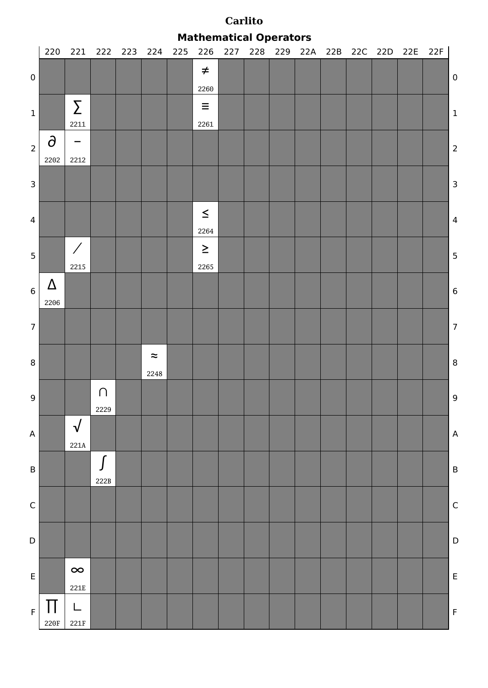**Mathematical Operators**

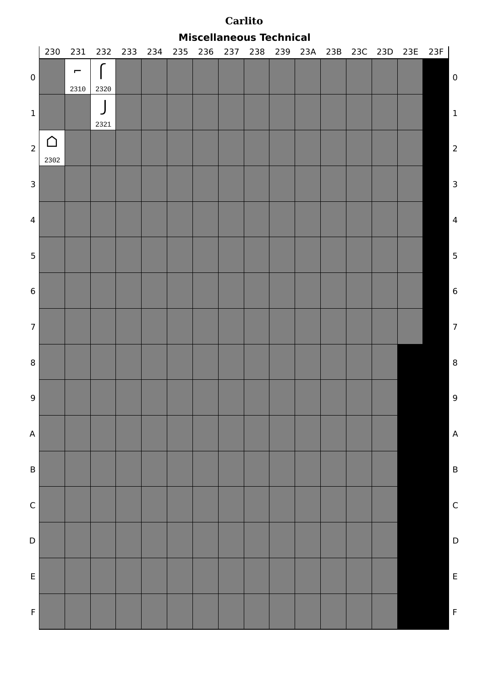|                | <b>Miscellaneous Technical</b> |                        |      |                 |  |     |     |         |  |  |  |  |  |  |                             |                         |
|----------------|--------------------------------|------------------------|------|-----------------|--|-----|-----|---------|--|--|--|--|--|--|-----------------------------|-------------------------|
|                | 230                            |                        |      | 231 232 233 234 |  | 235 | 236 | 237 238 |  |  |  |  |  |  | 239 23A 23B 23C 23D 23E 23F |                         |
| $\pmb{0}$      |                                | $\overline{ }$<br>2310 | 2320 |                 |  |     |     |         |  |  |  |  |  |  |                             | $\boldsymbol{0}$        |
| $\mathbf 1$    |                                |                        | 2321 |                 |  |     |     |         |  |  |  |  |  |  |                             | $\vert$ 1               |
| $\overline{2}$ | ∩<br>2302                      |                        |      |                 |  |     |     |         |  |  |  |  |  |  |                             | $\overline{2}$          |
| $\mathsf{3}$   |                                |                        |      |                 |  |     |     |         |  |  |  |  |  |  |                             | $\overline{\mathbf{3}}$ |
| $\overline{4}$ |                                |                        |      |                 |  |     |     |         |  |  |  |  |  |  |                             | $\overline{4}$          |
| 5              |                                |                        |      |                 |  |     |     |         |  |  |  |  |  |  |                             | 5                       |
| $\bf 6$        |                                |                        |      |                 |  |     |     |         |  |  |  |  |  |  |                             | 6                       |
| 7 <sup>1</sup> |                                |                        |      |                 |  |     |     |         |  |  |  |  |  |  |                             | $\overline{7}$          |
| $\bf 8$        |                                |                        |      |                 |  |     |     |         |  |  |  |  |  |  |                             | $\overline{\mathbf{8}}$ |
| 9              |                                |                        |      |                 |  |     |     |         |  |  |  |  |  |  |                             | 9                       |
| A              |                                |                        |      |                 |  |     |     |         |  |  |  |  |  |  |                             | $\overline{A}$          |
| $\sf B$        |                                |                        |      |                 |  |     |     |         |  |  |  |  |  |  |                             | $\overline{B}$          |
| $\mathsf C$    |                                |                        |      |                 |  |     |     |         |  |  |  |  |  |  |                             | $\mathsf{C}$            |
| D              |                                |                        |      |                 |  |     |     |         |  |  |  |  |  |  |                             | $\mathsf{D}$            |
| $\mathsf E$    |                                |                        |      |                 |  |     |     |         |  |  |  |  |  |  |                             | $\overline{E}$          |
| $\mathsf F$    |                                |                        |      |                 |  |     |     |         |  |  |  |  |  |  |                             | $\overline{F}$          |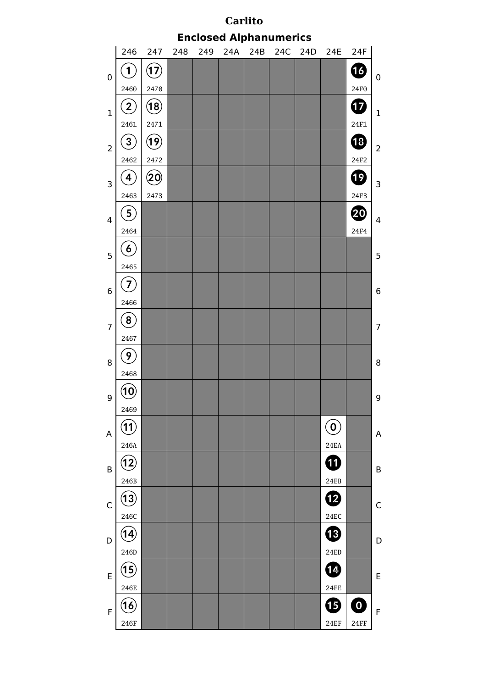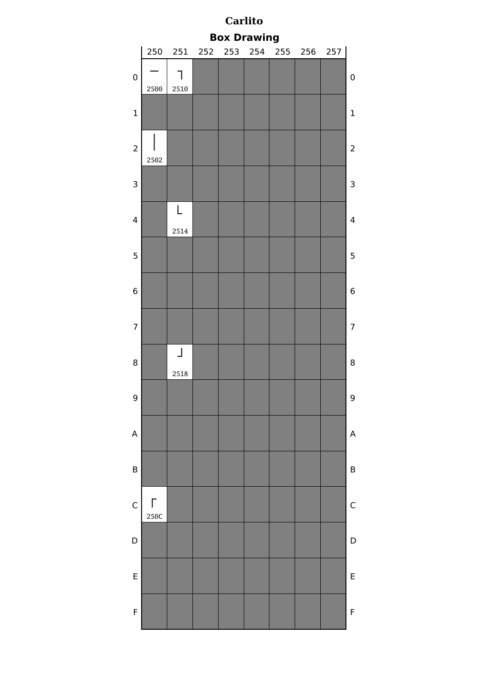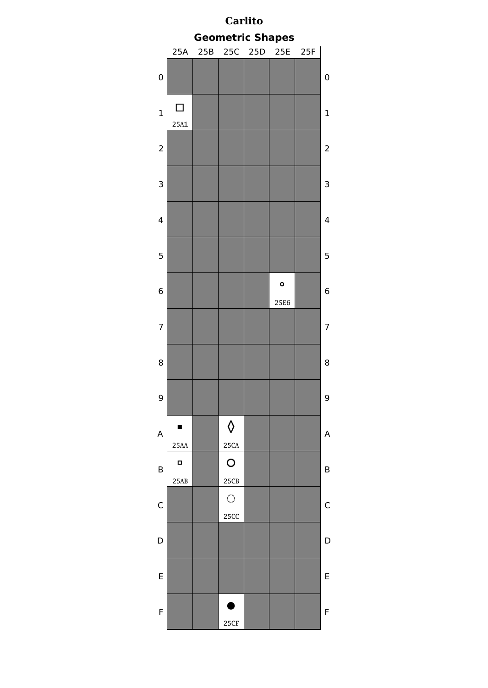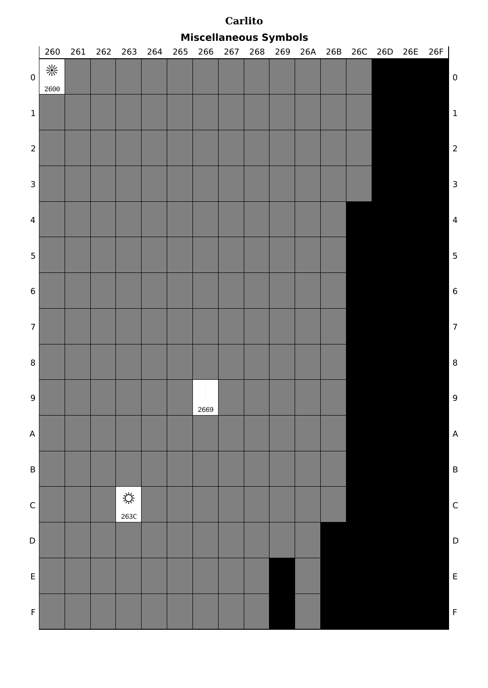|                  | <b>Miscellaneous Symbols</b> |     |  |                    |     |     |                      |     |     |     |     |     |         |  |     |     |                         |
|------------------|------------------------------|-----|--|--------------------|-----|-----|----------------------|-----|-----|-----|-----|-----|---------|--|-----|-----|-------------------------|
|                  | $260\,$                      | 261 |  | 262 263            | 264 | 265 | 266                  | 267 | 268 | 269 | 26A | 26B | 26C 26D |  | 26E | 26F |                         |
| $\pmb{0}$        | 崇<br>2600                    |     |  |                    |     |     |                      |     |     |     |     |     |         |  |     |     | $\boldsymbol{0}$        |
| $\mathbf 1$      |                              |     |  |                    |     |     |                      |     |     |     |     |     |         |  |     |     | $\vert$ 1               |
| $\overline{2}$   |                              |     |  |                    |     |     |                      |     |     |     |     |     |         |  |     |     | $\overline{c}$          |
| $\mathsf 3$      |                              |     |  |                    |     |     |                      |     |     |     |     |     |         |  |     |     | $\overline{\mathbf{3}}$ |
| $\overline{4}$   |                              |     |  |                    |     |     |                      |     |     |     |     |     |         |  |     |     | $\overline{4}$          |
| 5                |                              |     |  |                    |     |     |                      |     |     |     |     |     |         |  |     |     | 5                       |
| $\bf 6$          |                              |     |  |                    |     |     |                      |     |     |     |     |     |         |  |     |     | $\overline{6}$          |
| $\boldsymbol{7}$ |                              |     |  |                    |     |     |                      |     |     |     |     |     |         |  |     |     | $\overline{7}$          |
| $\bf 8$          |                              |     |  |                    |     |     |                      |     |     |     |     |     |         |  |     |     | $\boldsymbol{8}$        |
| 9 <sup>1</sup>   |                              |     |  |                    |     |     | $\mathbf{I}$<br>2669 |     |     |     |     |     |         |  |     |     | 9                       |
| A                |                              |     |  |                    |     |     |                      |     |     |     |     |     |         |  |     |     | $\overline{A}$          |
| $\mathsf B$      |                              |     |  |                    |     |     |                      |     |     |     |     |     |         |  |     |     | $\overline{B}$          |
| $\mathsf C$      |                              |     |  | $\bigcirc$<br>263C |     |     |                      |     |     |     |     |     |         |  |     |     | $\mathsf{C}$            |
| D                |                              |     |  |                    |     |     |                      |     |     |     |     |     |         |  |     |     | $\mathsf{D}$            |
| $\mathsf E$      |                              |     |  |                    |     |     |                      |     |     |     |     |     |         |  |     |     | $\overline{E}$          |
| $\mathsf F$      |                              |     |  |                    |     |     |                      |     |     |     |     |     |         |  |     |     | $\overline{F}$          |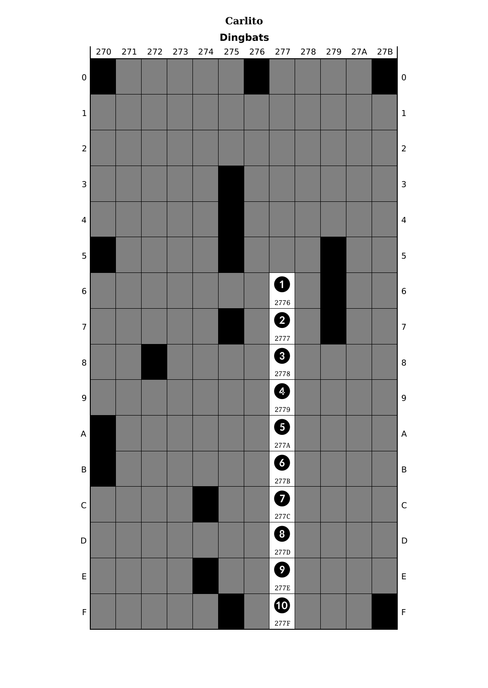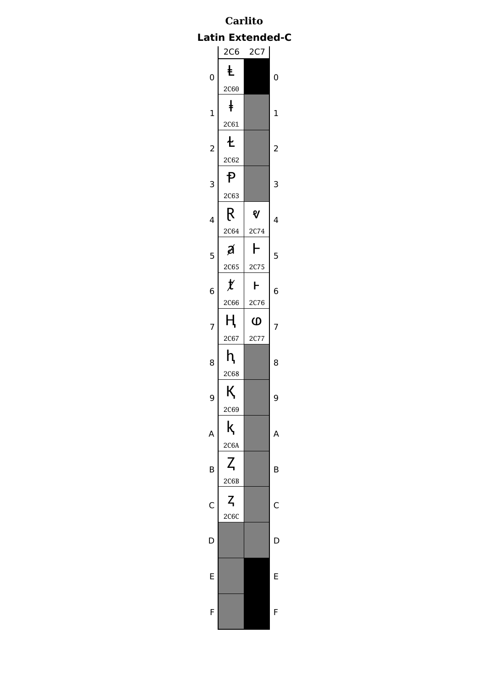# **Carlito Latin Extended-C**

|                         | 2C6                   | 2C7                           |                |
|-------------------------|-----------------------|-------------------------------|----------------|
| $\mathbf 0$             | Ł<br>2C60             |                               | 0              |
| $\mathbf 1$             | $\ddagger$<br>2C61    |                               | $\mathbf 1$    |
| $\overline{\mathbf{c}}$ | 七<br>2C62             |                               | $\overline{c}$ |
| 3                       | <b>P</b><br>2C63      |                               | 3              |
| 4                       | R<br>2C64             | V<br>2C <sub>74</sub>         | 4              |
| 5                       | Á<br>2C65             | ┣<br>2C75                     | 5              |
| 6                       | $\mathcal{X}$<br>2C66 | ┣                             | 6              |
| 7                       | ң                     | 2C76<br>$\boldsymbol{\omega}$ | 7              |
|                         |                       |                               |                |
| 8                       | 2C67<br>h             | 2C77                          | 8              |
| 9                       | 2C68<br>К             |                               | 9              |
| Δ                       | 2C69<br>k             |                               | Δ              |
| B                       | 2C6A<br>Z             |                               | B              |
|                         | 2C6B<br>$Z_{\rm I}$   |                               |                |
| C                       | 2C6C                  |                               | C              |
| D                       |                       |                               | D              |
| F                       |                       |                               | F              |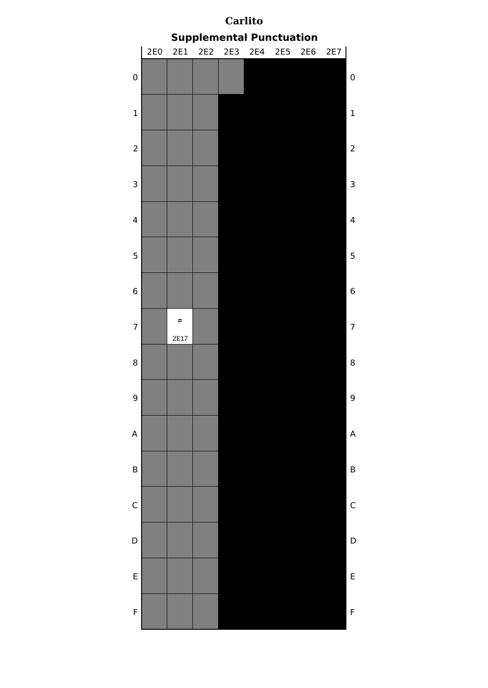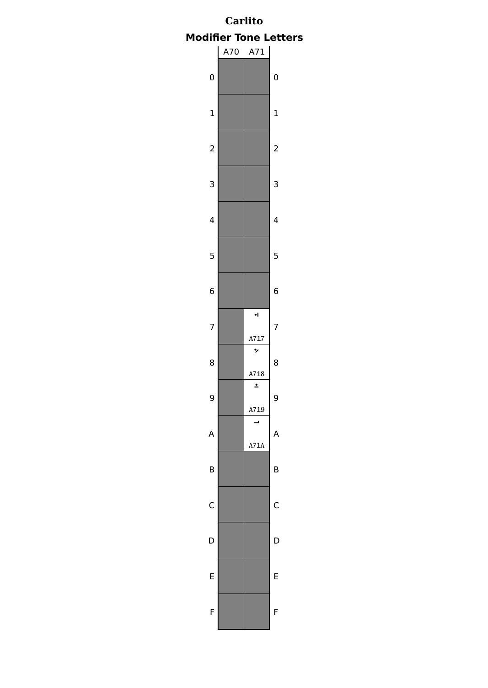# **Carlito Modifier Tone Letters**

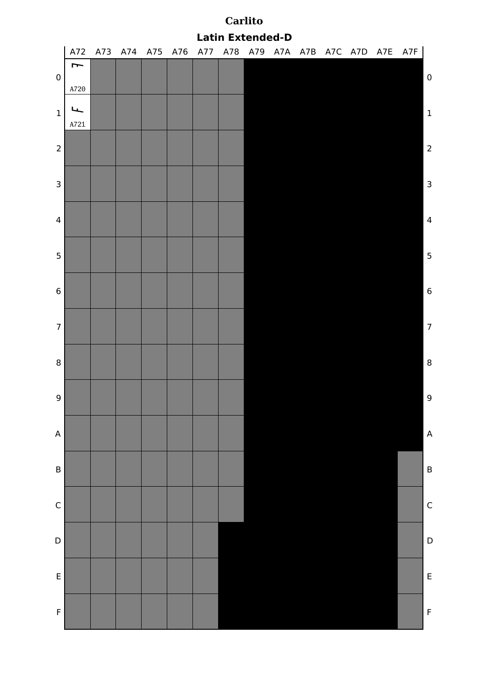|                  | <b>Latin Extended-D</b><br>A77 A78 A79 A7A A7B A7C A7D A7E |  |                 |  |  |  |  |  |  |  |  |  |  |     |                         |
|------------------|------------------------------------------------------------|--|-----------------|--|--|--|--|--|--|--|--|--|--|-----|-------------------------|
|                  | A72                                                        |  | A73 A74 A75 A76 |  |  |  |  |  |  |  |  |  |  | A7F |                         |
| $\pmb{0}$        | Į                                                          |  |                 |  |  |  |  |  |  |  |  |  |  |     | $\pmb{0}$               |
|                  | A720                                                       |  |                 |  |  |  |  |  |  |  |  |  |  |     |                         |
|                  | ┕┶                                                         |  |                 |  |  |  |  |  |  |  |  |  |  |     |                         |
| $\mathbf 1$      | A721                                                       |  |                 |  |  |  |  |  |  |  |  |  |  |     | $\mathbf 1$             |
|                  |                                                            |  |                 |  |  |  |  |  |  |  |  |  |  |     |                         |
| $\overline{2}$   |                                                            |  |                 |  |  |  |  |  |  |  |  |  |  |     | $\overline{c}$          |
|                  |                                                            |  |                 |  |  |  |  |  |  |  |  |  |  |     |                         |
| $\mathsf 3$      |                                                            |  |                 |  |  |  |  |  |  |  |  |  |  |     | $\overline{3}$          |
|                  |                                                            |  |                 |  |  |  |  |  |  |  |  |  |  |     |                         |
| $\overline{4}$   |                                                            |  |                 |  |  |  |  |  |  |  |  |  |  |     | $\overline{4}$          |
|                  |                                                            |  |                 |  |  |  |  |  |  |  |  |  |  |     |                         |
| $5\phantom{.0}$  |                                                            |  |                 |  |  |  |  |  |  |  |  |  |  |     | $\overline{\mathbf{5}}$ |
|                  |                                                            |  |                 |  |  |  |  |  |  |  |  |  |  |     |                         |
| $\bf 6$          |                                                            |  |                 |  |  |  |  |  |  |  |  |  |  |     | $\boldsymbol{6}$        |
|                  |                                                            |  |                 |  |  |  |  |  |  |  |  |  |  |     |                         |
| $\boldsymbol{7}$ |                                                            |  |                 |  |  |  |  |  |  |  |  |  |  |     | $\overline{7}$          |
|                  |                                                            |  |                 |  |  |  |  |  |  |  |  |  |  |     |                         |
| $\bf 8$          |                                                            |  |                 |  |  |  |  |  |  |  |  |  |  |     | $\boldsymbol{8}$        |
|                  |                                                            |  |                 |  |  |  |  |  |  |  |  |  |  |     |                         |
| $9\,$            |                                                            |  |                 |  |  |  |  |  |  |  |  |  |  |     | 9                       |
|                  |                                                            |  |                 |  |  |  |  |  |  |  |  |  |  |     |                         |
| $\mathsf A$      |                                                            |  |                 |  |  |  |  |  |  |  |  |  |  |     | $\overline{A}$          |
|                  |                                                            |  |                 |  |  |  |  |  |  |  |  |  |  |     |                         |
| $\sf B$          |                                                            |  |                 |  |  |  |  |  |  |  |  |  |  |     | $\overline{B}$          |
|                  |                                                            |  |                 |  |  |  |  |  |  |  |  |  |  |     |                         |
| $\mathsf C$      |                                                            |  |                 |  |  |  |  |  |  |  |  |  |  |     | $\mathsf{C}$            |
|                  |                                                            |  |                 |  |  |  |  |  |  |  |  |  |  |     |                         |
| $\mathsf D$      |                                                            |  |                 |  |  |  |  |  |  |  |  |  |  |     | $\mathsf{D}$            |
|                  |                                                            |  |                 |  |  |  |  |  |  |  |  |  |  |     |                         |
| $\mathsf E$      |                                                            |  |                 |  |  |  |  |  |  |  |  |  |  |     | $\overline{E}$          |
|                  |                                                            |  |                 |  |  |  |  |  |  |  |  |  |  |     |                         |
| $\mathsf F$      |                                                            |  |                 |  |  |  |  |  |  |  |  |  |  |     | $\overline{F}$          |
|                  |                                                            |  |                 |  |  |  |  |  |  |  |  |  |  |     |                         |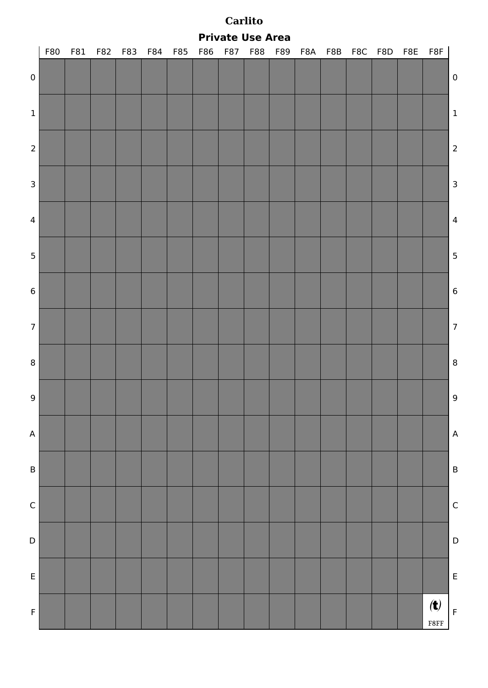|  |  |  | <b>Private Use Area</b> |
|--|--|--|-------------------------|
|--|--|--|-------------------------|

|                           | F80 |  |  |  |  |  |  |  | F81 F82 F83 F84 F85 F86 F87 F88 F89 F8A F8B F8C F8D F8E F8F |                         |
|---------------------------|-----|--|--|--|--|--|--|--|-------------------------------------------------------------|-------------------------|
| $\pmb{0}$                 |     |  |  |  |  |  |  |  |                                                             | $\boldsymbol{0}$        |
| $\ensuremath{\mathbf{1}}$ |     |  |  |  |  |  |  |  |                                                             | $\,$ 1                  |
| $\overline{2}$            |     |  |  |  |  |  |  |  |                                                             | $\overline{\mathbf{c}}$ |
| $\overline{\mathbf{3}}$   |     |  |  |  |  |  |  |  |                                                             | $\overline{\mathbf{3}}$ |
| $\overline{4}$            |     |  |  |  |  |  |  |  |                                                             | $\overline{4}$          |
| 5 <sup>1</sup>            |     |  |  |  |  |  |  |  |                                                             | 5                       |
| $6\phantom{a}$            |     |  |  |  |  |  |  |  |                                                             | $\boldsymbol{6}$        |
| 7 <sup>1</sup>            |     |  |  |  |  |  |  |  |                                                             | $\overline{7}$          |
| $\bf{8}$                  |     |  |  |  |  |  |  |  |                                                             | $\boldsymbol{8}$        |
| $\overline{9}$            |     |  |  |  |  |  |  |  |                                                             | 9                       |
| A                         |     |  |  |  |  |  |  |  |                                                             | $\overline{A}$          |
| B                         |     |  |  |  |  |  |  |  |                                                             | $\overline{B}$          |
| $\mathsf{C}$              |     |  |  |  |  |  |  |  |                                                             | $\mathsf{C}$            |
| D                         |     |  |  |  |  |  |  |  |                                                             | $\mathsf{D}$            |
| E                         |     |  |  |  |  |  |  |  |                                                             | E                       |
| $\mathsf F$               |     |  |  |  |  |  |  |  | $\left( t\right)$<br>F8FF                                   | $\overline{F}$          |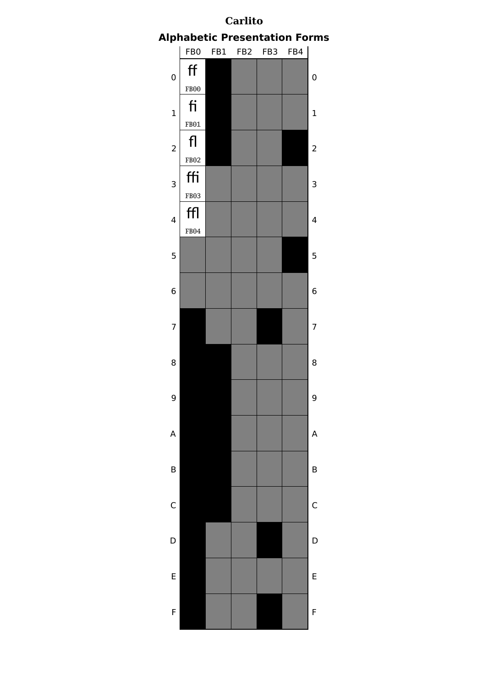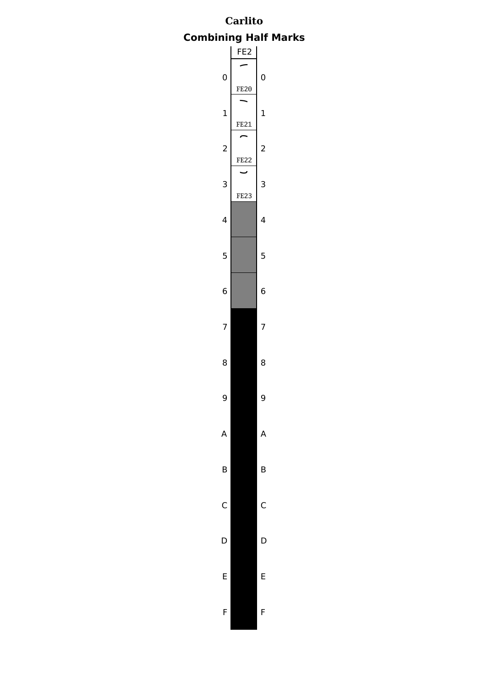# **Carlito Combining Half Marks**

![](_page_36_Figure_1.jpeg)